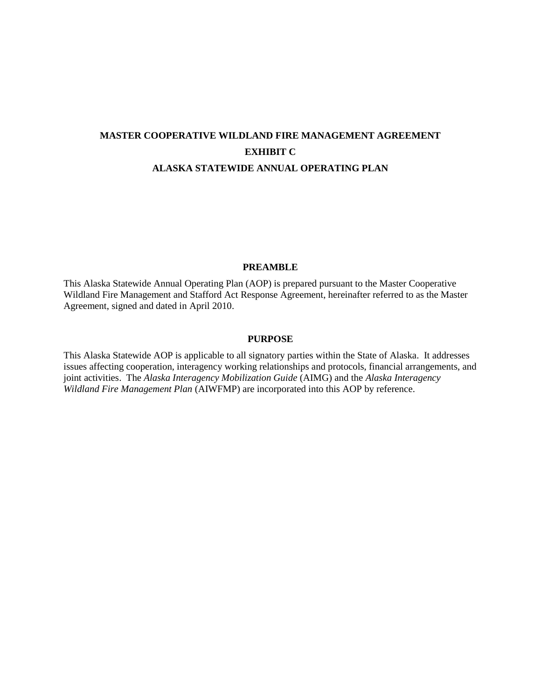# **MASTER COOPERATIVE WILDLAND FIRE MANAGEMENT AGREEMENT EXHIBIT C ALASKA STATEWIDE ANNUAL OPERATING PLAN**

#### **PREAMBLE**

This Alaska Statewide Annual Operating Plan (AOP) is prepared pursuant to the Master Cooperative Wildland Fire Management and Stafford Act Response Agreement, hereinafter referred to as the Master Agreement, signed and dated in April 2010.

#### **PURPOSE**

This Alaska Statewide AOP is applicable to all signatory parties within the State of Alaska. It addresses issues affecting cooperation, interagency working relationships and protocols, financial arrangements, and joint activities. The *Alaska Interagency Mobilization Guide* (AIMG) and the *Alaska Interagency Wildland Fire Management Plan* (AIWFMP) are incorporated into this AOP by reference.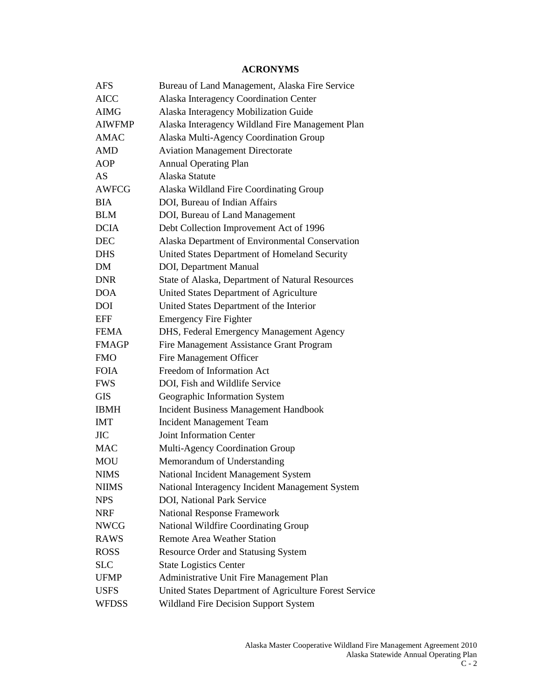# **ACRONYMS**

| <b>AFS</b>    | Bureau of Land Management, Alaska Fire Service         |
|---------------|--------------------------------------------------------|
| <b>AICC</b>   | Alaska Interagency Coordination Center                 |
| AIMG          | Alaska Interagency Mobilization Guide                  |
| <b>AIWFMP</b> | Alaska Interagency Wildland Fire Management Plan       |
| <b>AMAC</b>   | Alaska Multi-Agency Coordination Group                 |
| AMD           | <b>Aviation Management Directorate</b>                 |
| AOP           | <b>Annual Operating Plan</b>                           |
| AS            | Alaska Statute                                         |
| <b>AWFCG</b>  | Alaska Wildland Fire Coordinating Group                |
| <b>BIA</b>    | DOI, Bureau of Indian Affairs                          |
| <b>BLM</b>    | DOI, Bureau of Land Management                         |
| <b>DCIA</b>   | Debt Collection Improvement Act of 1996                |
| <b>DEC</b>    | Alaska Department of Environmental Conservation        |
| <b>DHS</b>    | United States Department of Homeland Security          |
| DM            | DOI, Department Manual                                 |
| <b>DNR</b>    | State of Alaska, Department of Natural Resources       |
| <b>DOA</b>    | United States Department of Agriculture                |
| <b>DOI</b>    | United States Department of the Interior               |
| <b>EFF</b>    | <b>Emergency Fire Fighter</b>                          |
| <b>FEMA</b>   | DHS, Federal Emergency Management Agency               |
| <b>FMAGP</b>  | Fire Management Assistance Grant Program               |
| <b>FMO</b>    | Fire Management Officer                                |
| <b>FOIA</b>   | Freedom of Information Act                             |
| <b>FWS</b>    | DOI, Fish and Wildlife Service                         |
| <b>GIS</b>    | Geographic Information System                          |
| <b>IBMH</b>   | <b>Incident Business Management Handbook</b>           |
| <b>IMT</b>    | <b>Incident Management Team</b>                        |
| <b>JIC</b>    | <b>Joint Information Center</b>                        |
| <b>MAC</b>    | Multi-Agency Coordination Group                        |
| <b>MOU</b>    | Memorandum of Understanding                            |
| <b>NIMS</b>   | National Incident Management System                    |
| <b>NIIMS</b>  | National Interagency Incident Management System        |
| <b>NPS</b>    | DOI, National Park Service                             |
| <b>NRF</b>    | <b>National Response Framework</b>                     |
| <b>NWCG</b>   | National Wildfire Coordinating Group                   |
| <b>RAWS</b>   | Remote Area Weather Station                            |
| <b>ROSS</b>   | Resource Order and Statusing System                    |
| <b>SLC</b>    | <b>State Logistics Center</b>                          |
| <b>UFMP</b>   | Administrative Unit Fire Management Plan               |
| <b>USFS</b>   | United States Department of Agriculture Forest Service |
| <b>WFDSS</b>  | Wildland Fire Decision Support System                  |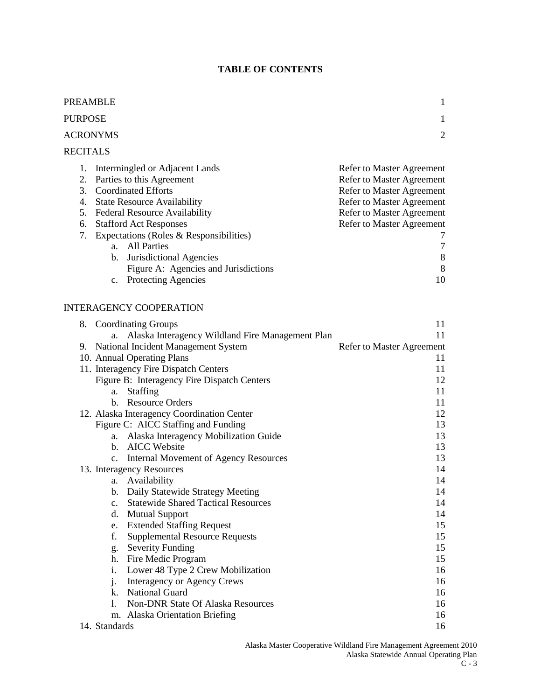# **TABLE OF CONTENTS**

| <b>PREAMBLE</b><br>1                                                                                                                                                                                                                                                                                                                                                                                                                                                                                                                                                                                                                                                                                                                                                                                                                                                  |                                                                                                                                                                                                                 |  |  |  |
|-----------------------------------------------------------------------------------------------------------------------------------------------------------------------------------------------------------------------------------------------------------------------------------------------------------------------------------------------------------------------------------------------------------------------------------------------------------------------------------------------------------------------------------------------------------------------------------------------------------------------------------------------------------------------------------------------------------------------------------------------------------------------------------------------------------------------------------------------------------------------|-----------------------------------------------------------------------------------------------------------------------------------------------------------------------------------------------------------------|--|--|--|
| <b>PURPOSE</b><br>1                                                                                                                                                                                                                                                                                                                                                                                                                                                                                                                                                                                                                                                                                                                                                                                                                                                   |                                                                                                                                                                                                                 |  |  |  |
| <b>ACRONYMS</b><br>2                                                                                                                                                                                                                                                                                                                                                                                                                                                                                                                                                                                                                                                                                                                                                                                                                                                  |                                                                                                                                                                                                                 |  |  |  |
| <b>RECITALS</b>                                                                                                                                                                                                                                                                                                                                                                                                                                                                                                                                                                                                                                                                                                                                                                                                                                                       |                                                                                                                                                                                                                 |  |  |  |
| Intermingled or Adjacent Lands<br>1.<br>Parties to this Agreement<br>2.<br>3.<br><b>Coordinated Efforts</b><br>4.<br><b>State Resource Availability</b><br>5.<br><b>Federal Resource Availability</b><br><b>Stafford Act Responses</b><br>6.<br>7.<br>Expectations (Roles & Responsibilities)<br>a. All Parties<br>b. Jurisdictional Agencies<br>Figure A: Agencies and Jurisdictions<br>c. Protecting Agencies                                                                                                                                                                                                                                                                                                                                                                                                                                                       | Refer to Master Agreement<br><b>Refer to Master Agreement</b><br>Refer to Master Agreement<br>Refer to Master Agreement<br>Refer to Master Agreement<br>Refer to Master Agreement<br>7<br>7<br>$8\,$<br>8<br>10 |  |  |  |
| <b>INTERAGENCY COOPERATION</b>                                                                                                                                                                                                                                                                                                                                                                                                                                                                                                                                                                                                                                                                                                                                                                                                                                        |                                                                                                                                                                                                                 |  |  |  |
| Alaska Interagency Wildland Fire Management Plan<br>a.<br>9. National Incident Management System<br>10. Annual Operating Plans<br>11. Interagency Fire Dispatch Centers<br>Figure B: Interagency Fire Dispatch Centers<br>Staffing<br>a.<br><b>Resource Orders</b><br>h.<br>12. Alaska Interagency Coordination Center<br>Figure C: AICC Staffing and Funding<br>Alaska Interagency Mobilization Guide<br>a.<br>b. AICC Website<br>c. Internal Movement of Agency Resources<br>13. Interagency Resources<br>a. Availability<br>Daily Statewide Strategy Meeting<br>b.<br><b>Statewide Shared Tactical Resources</b><br>$\mathbf{c}$ .<br><b>Mutual Support</b><br>d.<br><b>Extended Staffing Request</b><br>e.<br>f.<br><b>Supplemental Resource Requests</b><br><b>Severity Funding</b><br>g.<br>Fire Medic Program<br>h.<br>i.<br>Lower 48 Type 2 Crew Mobilization | 11<br>Refer to Master Agreement<br>11<br>11<br>12<br>11<br>11<br>12<br>13<br>13<br>13<br>13<br>14<br>14<br>14<br>14<br>14<br>15<br>15<br>15<br>15<br>16                                                         |  |  |  |
| <b>Interagency or Agency Crews</b><br>j.<br><b>National Guard</b><br>k.<br><b>Non-DNR State Of Alaska Resources</b><br>1.<br>m. Alaska Orientation Briefing                                                                                                                                                                                                                                                                                                                                                                                                                                                                                                                                                                                                                                                                                                           | 16<br>16<br>16<br>16                                                                                                                                                                                            |  |  |  |
| 14. Standards                                                                                                                                                                                                                                                                                                                                                                                                                                                                                                                                                                                                                                                                                                                                                                                                                                                         | 16                                                                                                                                                                                                              |  |  |  |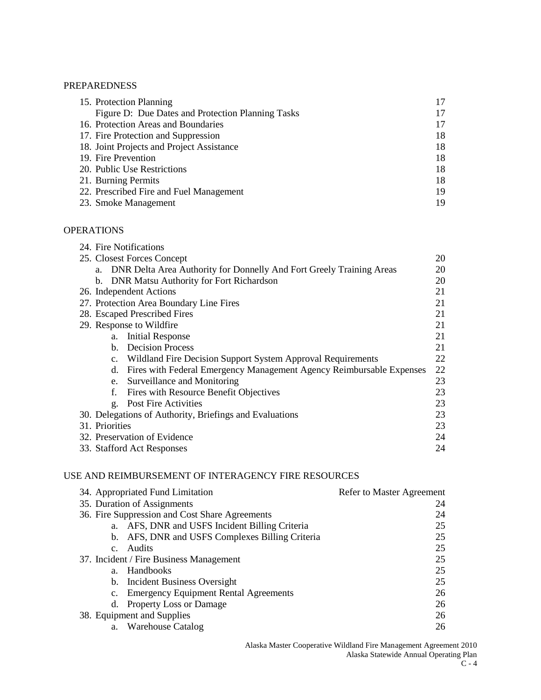## PREPAREDNESS

| 15. Protection Planning                           |    |
|---------------------------------------------------|----|
| Figure D: Due Dates and Protection Planning Tasks | 17 |
| 16. Protection Areas and Boundaries               | 17 |
| 17. Fire Protection and Suppression               | 18 |
| 18. Joint Projects and Project Assistance         | 18 |
| 19. Fire Prevention                               | 18 |
| 20. Public Use Restrictions                       | 18 |
| 21. Burning Permits                               | 18 |
| 22. Prescribed Fire and Fuel Management           | 19 |
| 23. Smoke Management                              | 19 |

## OPERATIONS

| 24. Fire Notifications                                                     |    |  |  |  |
|----------------------------------------------------------------------------|----|--|--|--|
| 25. Closest Forces Concept<br>20                                           |    |  |  |  |
| DNR Delta Area Authority for Donnelly And Fort Greely Training Areas<br>a. | 20 |  |  |  |
| DNR Matsu Authority for Fort Richardson<br>b.                              | 20 |  |  |  |
| 26. Independent Actions                                                    | 21 |  |  |  |
| 27. Protection Area Boundary Line Fires                                    | 21 |  |  |  |
| 28. Escaped Prescribed Fires                                               | 21 |  |  |  |
| 29. Response to Wildfire                                                   | 21 |  |  |  |
| a. Initial Response                                                        | 21 |  |  |  |
| b. Decision Process                                                        | 21 |  |  |  |
| Wildland Fire Decision Support System Approval Requirements<br>c.          | 22 |  |  |  |
| Fires with Federal Emergency Management Agency Reimbursable Expenses<br>d. | 22 |  |  |  |
| e. Surveillance and Monitoring                                             | 23 |  |  |  |
| Fires with Resource Benefit Objectives<br>f.                               | 23 |  |  |  |
| <b>Post Fire Activities</b><br>g.                                          | 23 |  |  |  |
| 30. Delegations of Authority, Briefings and Evaluations                    | 23 |  |  |  |
| 31. Priorities                                                             | 23 |  |  |  |
| 32. Preservation of Evidence                                               | 24 |  |  |  |
| 24<br>33. Stafford Act Responses                                           |    |  |  |  |

## USE AND REIMBURSEMENT OF INTERAGENCY FIRE RESOURCES

| 24<br>24<br>25 |
|----------------|
|                |
|                |
|                |
| 25             |
| 25             |
| 25             |
| 25             |
| 25             |
| 26             |
| 26             |
| 26             |
| 26             |
|                |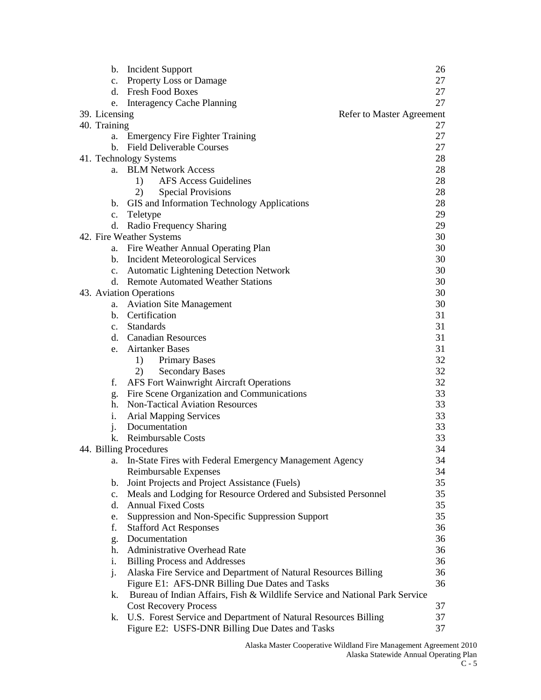| b.             | <b>Incident Support</b>                                                     | 26 |
|----------------|-----------------------------------------------------------------------------|----|
| c.             | <b>Property Loss or Damage</b>                                              | 27 |
| d.             | <b>Fresh Food Boxes</b>                                                     | 27 |
| e.             | <b>Interagency Cache Planning</b>                                           | 27 |
| 39. Licensing  | <b>Refer to Master Agreement</b>                                            |    |
| 40. Training   |                                                                             | 27 |
|                | a. Emergency Fire Fighter Training                                          | 27 |
| $\mathbf{b}$ . | <b>Field Deliverable Courses</b>                                            | 27 |
|                | 41. Technology Systems                                                      | 28 |
|                | a. BLM Network Access                                                       | 28 |
|                | <b>AFS Access Guidelines</b><br>1)                                          | 28 |
|                | 2)<br><b>Special Provisions</b>                                             | 28 |
| b.             | GIS and Information Technology Applications                                 | 28 |
| c.             | Teletype                                                                    | 29 |
| d.             | Radio Frequency Sharing                                                     | 29 |
|                | 42. Fire Weather Systems                                                    | 30 |
| a.             | Fire Weather Annual Operating Plan                                          | 30 |
| $\mathbf{b}$ . | <b>Incident Meteorological Services</b>                                     | 30 |
| $c_{\cdot}$    | Automatic Lightening Detection Network                                      | 30 |
|                | d. Remote Automated Weather Stations                                        | 30 |
|                | 43. Aviation Operations                                                     | 30 |
| a.             | <b>Aviation Site Management</b>                                             | 30 |
|                | b. Certification                                                            | 31 |
|                | c. Standards                                                                | 31 |
|                | d. Canadian Resources                                                       | 31 |
|                | e. Airtanker Bases                                                          | 31 |
|                | 1)<br><b>Primary Bases</b>                                                  | 32 |
|                | 2)<br><b>Secondary Bases</b>                                                | 32 |
| f.             | AFS Fort Wainwright Aircraft Operations                                     | 32 |
| g.             | Fire Scene Organization and Communications                                  | 33 |
| h.             | <b>Non-Tactical Aviation Resources</b>                                      | 33 |
| i.             | <b>Arial Mapping Services</b>                                               | 33 |
| j.             | Documentation                                                               | 33 |
| k.             | <b>Reimbursable Costs</b>                                                   | 33 |
|                | 44. Billing Procedures                                                      | 34 |
|                | a. In-State Fires with Federal Emergency Management Agency                  | 34 |
|                | Reimbursable Expenses                                                       | 34 |
| b.             | Joint Projects and Project Assistance (Fuels)                               | 35 |
| c.             | Meals and Lodging for Resource Ordered and Subsisted Personnel              | 35 |
| d.             | <b>Annual Fixed Costs</b>                                                   | 35 |
| e.             | Suppression and Non-Specific Suppression Support                            | 35 |
| f.             | <b>Stafford Act Responses</b>                                               | 36 |
| g.             | Documentation                                                               | 36 |
| h.             | <b>Administrative Overhead Rate</b>                                         | 36 |
| i.             | <b>Billing Process and Addresses</b>                                        | 36 |
| j.             | Alaska Fire Service and Department of Natural Resources Billing             | 36 |
|                | Figure E1: AFS-DNR Billing Due Dates and Tasks                              | 36 |
| k.             | Bureau of Indian Affairs, Fish & Wildlife Service and National Park Service |    |
|                | <b>Cost Recovery Process</b>                                                | 37 |
| k.             | U.S. Forest Service and Department of Natural Resources Billing             | 37 |
|                | Figure E2: USFS-DNR Billing Due Dates and Tasks                             | 37 |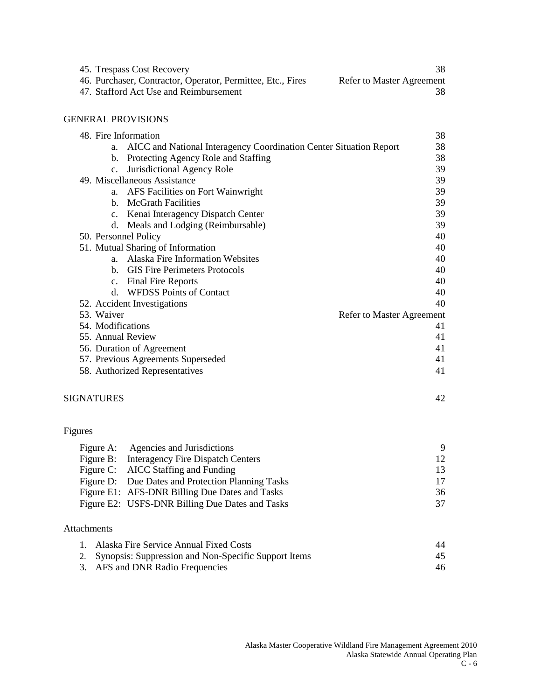| 45. Trespass Cost Recovery                                  |                                  |
|-------------------------------------------------------------|----------------------------------|
| 46. Purchaser, Contractor, Operator, Permittee, Etc., Fires | <b>Refer to Master Agreement</b> |
| 47. Stafford Act Use and Reimbursement                      |                                  |

## GENERAL PROVISIONS

| 48. Fire Information |                                                                    | 38                               |
|----------------------|--------------------------------------------------------------------|----------------------------------|
| a.                   | AICC and National Interagency Coordination Center Situation Report | 38                               |
| b.                   | Protecting Agency Role and Staffing                                | 38                               |
| c.                   | Jurisdictional Agency Role                                         | 39                               |
|                      | 49. Miscellaneous Assistance                                       | 39                               |
|                      | a. AFS Facilities on Fort Wainwright                               | 39                               |
| $h_{-}$              | <b>McGrath Facilities</b>                                          | 39                               |
|                      | c. Kenai Interagency Dispatch Center                               | 39                               |
| d.                   | Meals and Lodging (Reimbursable)                                   | 39                               |
| 50. Personnel Policy |                                                                    | 40                               |
|                      | 51. Mutual Sharing of Information                                  | 40                               |
| $a_{-}$              | <b>Alaska Fire Information Websites</b>                            | 40                               |
| h.                   | <b>GIS Fire Perimeters Protocols</b>                               | 40                               |
| $\mathbf{c}$ .       | <b>Final Fire Reports</b>                                          | 40                               |
| d.                   | <b>WFDSS Points of Contact</b>                                     | 40                               |
|                      | 52. Accident Investigations                                        | 40                               |
| 53. Waiver           |                                                                    | <b>Refer to Master Agreement</b> |
| 54. Modifications    |                                                                    | 41                               |
| 55. Annual Review    |                                                                    | 41                               |
|                      | 56. Duration of Agreement                                          | 41                               |
|                      | 57. Previous Agreements Superseded                                 | 41                               |
|                      | 58. Authorized Representatives                                     | 41                               |
|                      |                                                                    |                                  |

## SIGNATURES 42

# Figures

| Figure A: Agencies and Jurisdictions              | 9  |
|---------------------------------------------------|----|
| Figure B: Interagency Fire Dispatch Centers       | 12 |
| Figure C: AICC Staffing and Funding               | 13 |
| Figure D: Due Dates and Protection Planning Tasks | 17 |
| Figure E1: AFS-DNR Billing Due Dates and Tasks    | 36 |
| Figure E2: USFS-DNR Billing Due Dates and Tasks   | 37 |

## Attachments

| 1. Alaska Fire Service Annual Fixed Costs               | 44 |
|---------------------------------------------------------|----|
| 2. Synopsis: Suppression and Non-Specific Support Items | 45 |
| 3. AFS and DNR Radio Frequencies                        | 46 |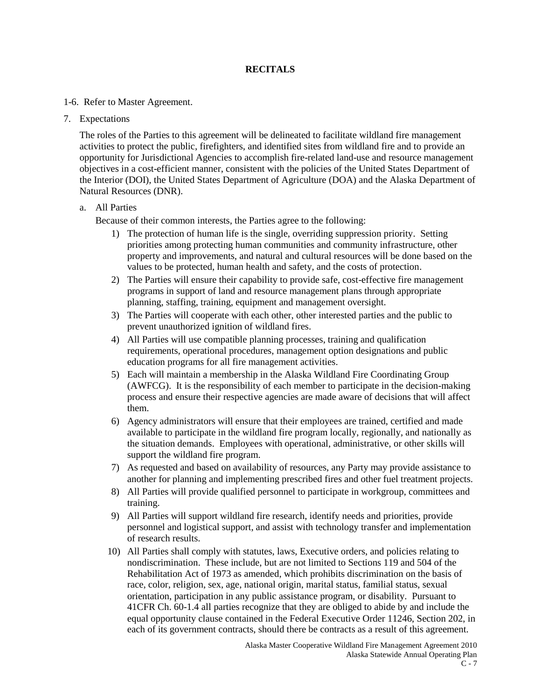## **RECITALS**

#### 1-6. Refer to Master Agreement.

7. Expectations

The roles of the Parties to this agreement will be delineated to facilitate wildland fire management activities to protect the public, firefighters, and identified sites from wildland fire and to provide an opportunity for Jurisdictional Agencies to accomplish fire-related land-use and resource management objectives in a cost-efficient manner, consistent with the policies of the United States Department of the Interior (DOI), the United States Department of Agriculture (DOA) and the Alaska Department of Natural Resources (DNR).

#### a. All Parties

Because of their common interests, the Parties agree to the following:

- 1) The protection of human life is the single, overriding suppression priority. Setting priorities among protecting human communities and community infrastructure, other property and improvements, and natural and cultural resources will be done based on the values to be protected, human health and safety, and the costs of protection.
- 2) The Parties will ensure their capability to provide safe, cost-effective fire management programs in support of land and resource management plans through appropriate planning, staffing, training, equipment and management oversight.
- 3) The Parties will cooperate with each other, other interested parties and the public to prevent unauthorized ignition of wildland fires.
- 4) All Parties will use compatible planning processes, training and qualification requirements, operational procedures, management option designations and public education programs for all fire management activities.
- 5) Each will maintain a membership in the Alaska Wildland Fire Coordinating Group (AWFCG). It is the responsibility of each member to participate in the decision-making process and ensure their respective agencies are made aware of decisions that will affect them.
- 6) Agency administrators will ensure that their employees are trained, certified and made available to participate in the wildland fire program locally, regionally, and nationally as the situation demands. Employees with operational, administrative, or other skills will support the wildland fire program.
- 7) As requested and based on availability of resources, any Party may provide assistance to another for planning and implementing prescribed fires and other fuel treatment projects.
- 8) All Parties will provide qualified personnel to participate in workgroup, committees and training.
- 9) All Parties will support wildland fire research, identify needs and priorities, provide personnel and logistical support, and assist with technology transfer and implementation of research results.
- 10) All Parties shall comply with statutes, laws, Executive orders, and policies relating to nondiscrimination. These include, but are not limited to Sections 119 and 504 of the Rehabilitation Act of 1973 as amended, which prohibits discrimination on the basis of race, color, religion, sex, age, national origin, marital status, familial status, sexual orientation, participation in any public assistance program, or disability. Pursuant to 41CFR Ch. 60-1.4 all parties recognize that they are obliged to abide by and include the equal opportunity clause contained in the Federal Executive Order 11246, Section 202, in each of its government contracts, should there be contracts as a result of this agreement.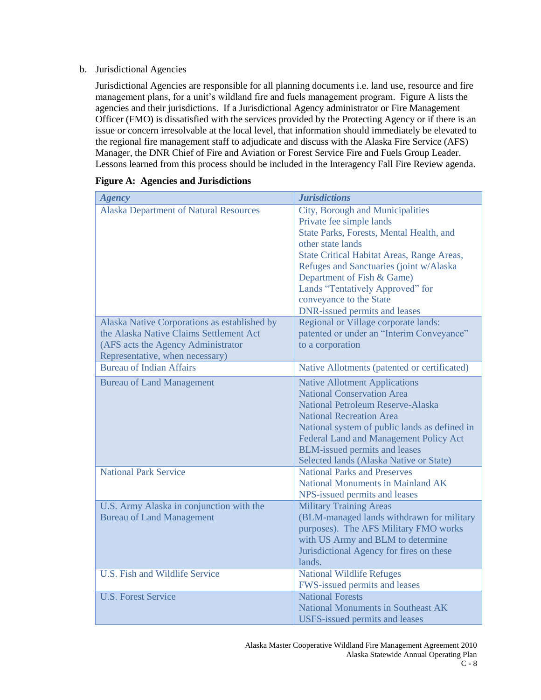#### b. Jurisdictional Agencies

Jurisdictional Agencies are responsible for all planning documents i.e. land use, resource and fire management plans, for a unit's wildland fire and fuels management program. Figure A lists the agencies and their jurisdictions. If a Jurisdictional Agency administrator or Fire Management Officer (FMO) is dissatisfied with the services provided by the Protecting Agency or if there is an issue or concern irresolvable at the local level, that information should immediately be elevated to the regional fire management staff to adjudicate and discuss with the Alaska Fire Service (AFS) Manager, the DNR Chief of Fire and Aviation or Forest Service Fire and Fuels Group Leader. Lessons learned from this process should be included in the Interagency Fall Fire Review agenda.

| <b>Agency</b>                                 | <b>Jurisdictions</b>                          |
|-----------------------------------------------|-----------------------------------------------|
| <b>Alaska Department of Natural Resources</b> | City, Borough and Municipalities              |
|                                               | Private fee simple lands                      |
|                                               | State Parks, Forests, Mental Health, and      |
|                                               | other state lands                             |
|                                               | State Critical Habitat Areas, Range Areas,    |
|                                               | Refuges and Sanctuaries (joint w/Alaska       |
|                                               | Department of Fish & Game)                    |
|                                               | Lands "Tentatively Approved" for              |
|                                               | conveyance to the State                       |
|                                               | DNR-issued permits and leases                 |
| Alaska Native Corporations as established by  | Regional or Village corporate lands:          |
| the Alaska Native Claims Settlement Act       | patented or under an "Interim Conveyance"     |
| (AFS acts the Agency Administrator            | to a corporation                              |
| Representative, when necessary)               |                                               |
| <b>Bureau of Indian Affairs</b>               | Native Allotments (patented or certificated)  |
| <b>Bureau of Land Management</b>              | <b>Native Allotment Applications</b>          |
|                                               | <b>National Conservation Area</b>             |
|                                               | National Petroleum Reserve-Alaska             |
|                                               | <b>National Recreation Area</b>               |
|                                               | National system of public lands as defined in |
|                                               | Federal Land and Management Policy Act        |
|                                               | <b>BLM-issued permits and leases</b>          |
|                                               | Selected lands (Alaska Native or State)       |
| <b>National Park Service</b>                  | <b>National Parks and Preserves</b>           |
|                                               | National Monuments in Mainland AK             |
|                                               | NPS-issued permits and leases                 |
| U.S. Army Alaska in conjunction with the      | <b>Military Training Areas</b>                |
| <b>Bureau of Land Management</b>              | (BLM-managed lands withdrawn for military     |
|                                               | purposes). The AFS Military FMO works         |
|                                               | with US Army and BLM to determine             |
|                                               | Jurisdictional Agency for fires on these      |
|                                               | lands.                                        |
| <b>U.S. Fish and Wildlife Service</b>         | <b>National Wildlife Refuges</b>              |
|                                               | FWS-issued permits and leases                 |
| <b>U.S. Forest Service</b>                    | <b>National Forests</b>                       |
|                                               | <b>National Monuments in Southeast AK</b>     |
|                                               | <b>USFS-issued permits and leases</b>         |

#### **Figure A: Agencies and Jurisdictions**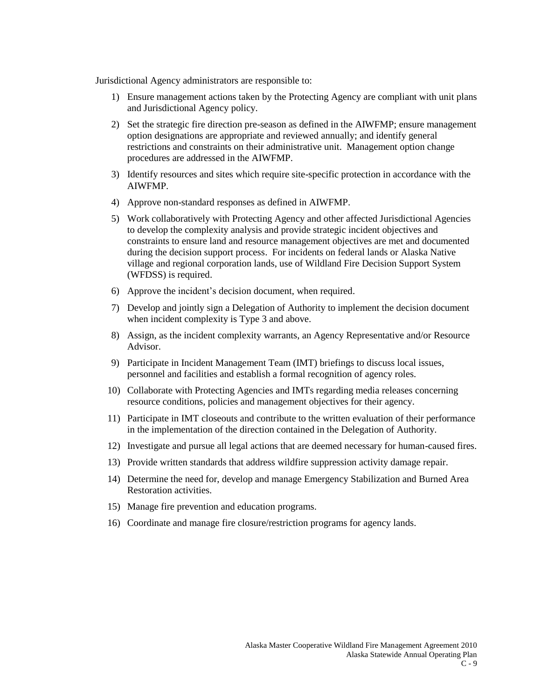Jurisdictional Agency administrators are responsible to:

- 1) Ensure management actions taken by the Protecting Agency are compliant with unit plans and Jurisdictional Agency policy.
- 2) Set the strategic fire direction pre-season as defined in the AIWFMP; ensure management option designations are appropriate and reviewed annually; and identify general restrictions and constraints on their administrative unit. Management option change procedures are addressed in the AIWFMP.
- 3) Identify resources and sites which require site-specific protection in accordance with the AIWFMP.
- 4) Approve non-standard responses as defined in AIWFMP.
- 5) Work collaboratively with Protecting Agency and other affected Jurisdictional Agencies to develop the complexity analysis and provide strategic incident objectives and constraints to ensure land and resource management objectives are met and documented during the decision support process. For incidents on federal lands or Alaska Native village and regional corporation lands, use of Wildland Fire Decision Support System (WFDSS) is required.
- 6) Approve the incident's decision document, when required.
- 7) Develop and jointly sign a Delegation of Authority to implement the decision document when incident complexity is Type 3 and above.
- 8) Assign, as the incident complexity warrants, an Agency Representative and/or Resource Advisor.
- 9) Participate in Incident Management Team (IMT) briefings to discuss local issues, personnel and facilities and establish a formal recognition of agency roles.
- 10) Collaborate with Protecting Agencies and IMTs regarding media releases concerning resource conditions, policies and management objectives for their agency.
- 11) Participate in IMT closeouts and contribute to the written evaluation of their performance in the implementation of the direction contained in the Delegation of Authority.
- 12) Investigate and pursue all legal actions that are deemed necessary for human-caused fires.
- 13) Provide written standards that address wildfire suppression activity damage repair.
- 14) Determine the need for, develop and manage Emergency Stabilization and Burned Area Restoration activities.
- 15) Manage fire prevention and education programs.
- 16) Coordinate and manage fire closure/restriction programs for agency lands.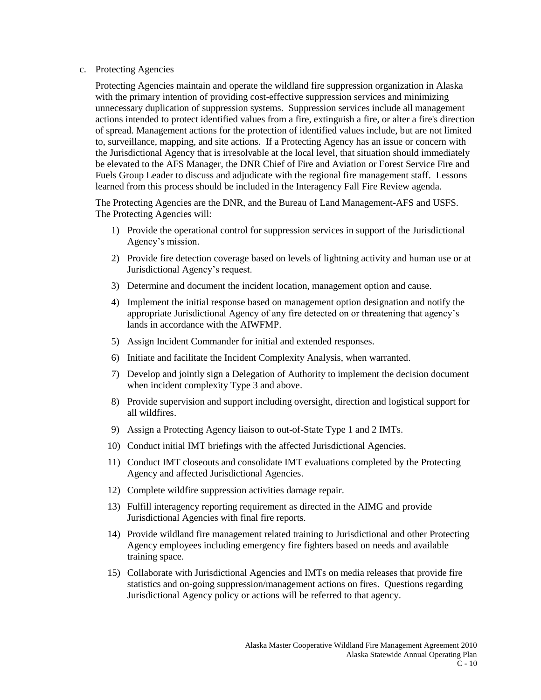#### c. Protecting Agencies

Protecting Agencies maintain and operate the wildland fire suppression organization in Alaska with the primary intention of providing cost-effective suppression services and minimizing unnecessary duplication of suppression systems. Suppression services include all management actions intended to protect identified values from a fire, extinguish a fire, or alter a fire's direction of spread. Management actions for the protection of identified values include, but are not limited to, surveillance, mapping, and site actions. If a Protecting Agency has an issue or concern with the Jurisdictional Agency that is irresolvable at the local level, that situation should immediately be elevated to the AFS Manager, the DNR Chief of Fire and Aviation or Forest Service Fire and Fuels Group Leader to discuss and adjudicate with the regional fire management staff. Lessons learned from this process should be included in the Interagency Fall Fire Review agenda.

The Protecting Agencies are the DNR, and the Bureau of Land Management-AFS and USFS. The Protecting Agencies will:

- 1) Provide the operational control for suppression services in support of the Jurisdictional Agency's mission.
- 2) Provide fire detection coverage based on levels of lightning activity and human use or at Jurisdictional Agency's request.
- 3) Determine and document the incident location, management option and cause.
- 4) Implement the initial response based on management option designation and notify the appropriate Jurisdictional Agency of any fire detected on or threatening that agency's lands in accordance with the AIWFMP.
- 5) Assign Incident Commander for initial and extended responses.
- 6) Initiate and facilitate the Incident Complexity Analysis, when warranted.
- 7) Develop and jointly sign a Delegation of Authority to implement the decision document when incident complexity Type 3 and above.
- 8) Provide supervision and support including oversight, direction and logistical support for all wildfires.
- 9) Assign a Protecting Agency liaison to out-of-State Type 1 and 2 IMTs.
- 10) Conduct initial IMT briefings with the affected Jurisdictional Agencies.
- 11) Conduct IMT closeouts and consolidate IMT evaluations completed by the Protecting Agency and affected Jurisdictional Agencies.
- 12) Complete wildfire suppression activities damage repair.
- 13) Fulfill interagency reporting requirement as directed in the AIMG and provide Jurisdictional Agencies with final fire reports.
- 14) Provide wildland fire management related training to Jurisdictional and other Protecting Agency employees including emergency fire fighters based on needs and available training space.
- 15) Collaborate with Jurisdictional Agencies and IMTs on media releases that provide fire statistics and on-going suppression/management actions on fires. Questions regarding Jurisdictional Agency policy or actions will be referred to that agency.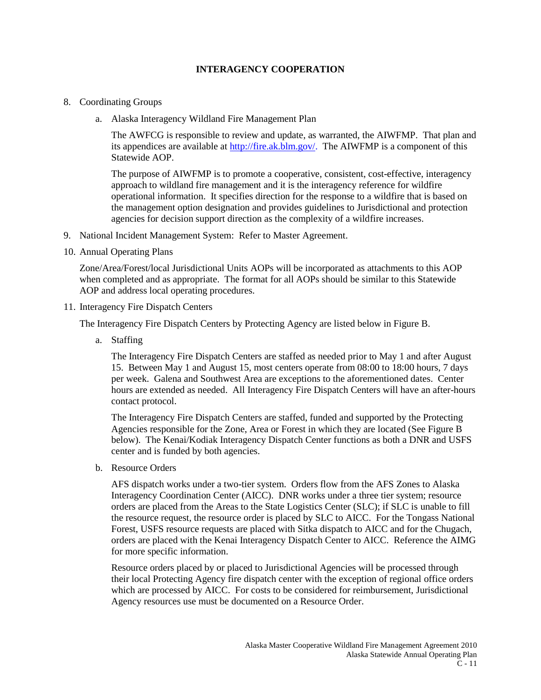# **INTERAGENCY COOPERATION**

## 8. Coordinating Groups

a. Alaska Interagency Wildland Fire Management Plan

The AWFCG is responsible to review and update, as warranted, the AIWFMP. That plan and its appendices are available at [http://fire.ak.blm.gov/.](http://fire.ak.blm.gov/) The AIWFMP is a component of this Statewide AOP.

The purpose of AIWFMP is to promote a cooperative, consistent, cost-effective, interagency approach to wildland fire management and it is the interagency reference for wildfire operational information. It specifies direction for the response to a wildfire that is based on the management option designation and provides guidelines to Jurisdictional and protection agencies for decision support direction as the complexity of a wildfire increases.

- 9. National Incident Management System: Refer to Master Agreement.
- 10. Annual Operating Plans

Zone/Area/Forest/local Jurisdictional Units AOPs will be incorporated as attachments to this AOP when completed and as appropriate. The format for all AOPs should be similar to this Statewide AOP and address local operating procedures.

11. Interagency Fire Dispatch Centers

The Interagency Fire Dispatch Centers by Protecting Agency are listed below in Figure B.

a. Staffing

The Interagency Fire Dispatch Centers are staffed as needed prior to May 1 and after August 15. Between May 1 and August 15, most centers operate from 08:00 to 18:00 hours, 7 days per week. Galena and Southwest Area are exceptions to the aforementioned dates. Center hours are extended as needed. All Interagency Fire Dispatch Centers will have an after-hours contact protocol.

The Interagency Fire Dispatch Centers are staffed, funded and supported by the Protecting Agencies responsible for the Zone, Area or Forest in which they are located (See Figure B below). The Kenai/Kodiak Interagency Dispatch Center functions as both a DNR and USFS center and is funded by both agencies.

b. Resource Orders

AFS dispatch works under a two-tier system. Orders flow from the AFS Zones to Alaska Interagency Coordination Center (AICC). DNR works under a three tier system; resource orders are placed from the Areas to the State Logistics Center (SLC); if SLC is unable to fill the resource request, the resource order is placed by SLC to AICC. For the Tongass National Forest, USFS resource requests are placed with Sitka dispatch to AICC and for the Chugach, orders are placed with the Kenai Interagency Dispatch Center to AICC. Reference the AIMG for more specific information.

Resource orders placed by or placed to Jurisdictional Agencies will be processed through their local Protecting Agency fire dispatch center with the exception of regional office orders which are processed by AICC. For costs to be considered for reimbursement, Jurisdictional Agency resources use must be documented on a Resource Order.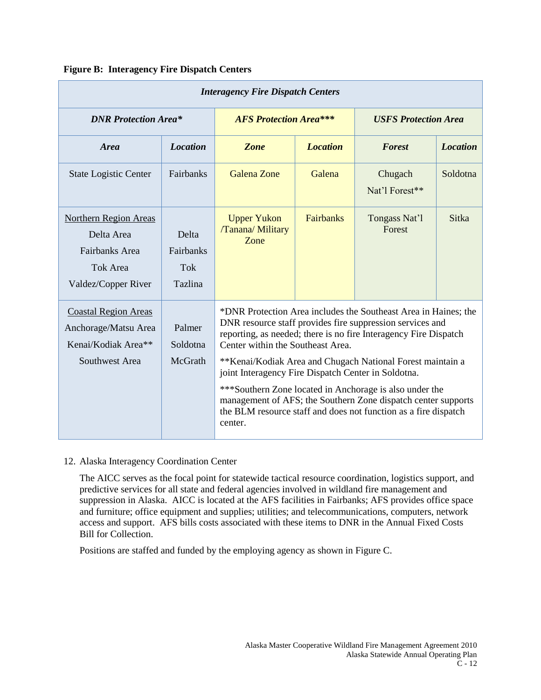## **Figure B: Interagency Fire Dispatch Centers**

| <b>Interagency Fire Dispatch Centers</b>                                                        |                                             |                                                                                                                                                                                                                                                                                                                                                                                                                                                                                                                                                                       |                 |                             |                 |
|-------------------------------------------------------------------------------------------------|---------------------------------------------|-----------------------------------------------------------------------------------------------------------------------------------------------------------------------------------------------------------------------------------------------------------------------------------------------------------------------------------------------------------------------------------------------------------------------------------------------------------------------------------------------------------------------------------------------------------------------|-----------------|-----------------------------|-----------------|
| <b>DNR</b> Protection Area*                                                                     |                                             | <b>AFS Protection Area***</b>                                                                                                                                                                                                                                                                                                                                                                                                                                                                                                                                         |                 | <b>USFS Protection Area</b> |                 |
| <b>Area</b>                                                                                     | <b>Location</b>                             | Zone                                                                                                                                                                                                                                                                                                                                                                                                                                                                                                                                                                  | <b>Location</b> | <b>Forest</b>               | <b>Location</b> |
| <b>State Logistic Center</b>                                                                    | Fairbanks                                   | Galena Zone                                                                                                                                                                                                                                                                                                                                                                                                                                                                                                                                                           | Galena          | Chugach<br>Nat'l Forest**   | Soldotna        |
| <b>Northern Region Areas</b><br>Delta Area<br>Fairbanks Area<br>Tok Area<br>Valdez/Copper River | Delta<br><b>Fairbanks</b><br>Tok<br>Tazlina | <b>Upper Yukon</b><br>/Tanana/ Military<br>Zone                                                                                                                                                                                                                                                                                                                                                                                                                                                                                                                       | Fairbanks       | Tongass Nat'l<br>Forest     | <b>Sitka</b>    |
| <b>Coastal Region Areas</b><br>Anchorage/Matsu Area<br>Kenai/Kodiak Area**<br>Southwest Area    | Palmer<br>Soldotna<br>McGrath               | *DNR Protection Area includes the Southeast Area in Haines; the<br>DNR resource staff provides fire suppression services and<br>reporting, as needed; there is no fire Interagency Fire Dispatch<br>Center within the Southeast Area.<br>**Kenai/Kodiak Area and Chugach National Forest maintain a<br>joint Interagency Fire Dispatch Center in Soldotna.<br>*** Southern Zone located in Anchorage is also under the<br>management of AFS; the Southern Zone dispatch center supports<br>the BLM resource staff and does not function as a fire dispatch<br>center. |                 |                             |                 |

# 12. Alaska Interagency Coordination Center

The AICC serves as the focal point for statewide tactical resource coordination, logistics support, and predictive services for all state and federal agencies involved in wildland fire management and suppression in Alaska. AICC is located at the AFS facilities in Fairbanks; AFS provides office space and furniture; office equipment and supplies; utilities; and telecommunications, computers, network access and support. AFS bills costs associated with these items to DNR in the Annual Fixed Costs Bill for Collection.

Positions are staffed and funded by the employing agency as shown in Figure C.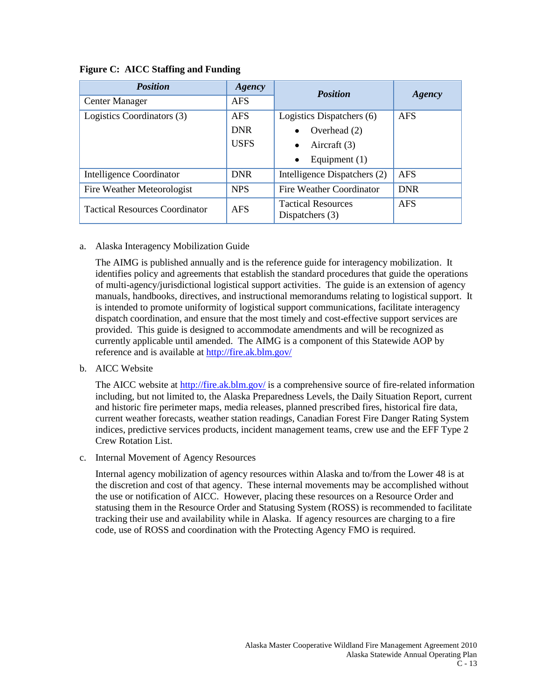| <b>Position</b>                       | Agency      | <b>Position</b>                                | Agency     |
|---------------------------------------|-------------|------------------------------------------------|------------|
| <b>Center Manager</b>                 | <b>AFS</b>  |                                                |            |
| Logistics Coordinators (3)            | <b>AFS</b>  | Logistics Dispatchers (6)                      | <b>AFS</b> |
|                                       | <b>DNR</b>  | Overhead (2)<br>$\bullet$                      |            |
|                                       | <b>USFS</b> | Aircraft (3)                                   |            |
|                                       |             | Equipment $(1)$<br>$\bullet$                   |            |
| Intelligence Coordinator              | <b>DNR</b>  | Intelligence Dispatchers (2)                   | <b>AFS</b> |
| Fire Weather Meteorologist            | <b>NPS</b>  | <b>Fire Weather Coordinator</b>                | <b>DNR</b> |
| <b>Tactical Resources Coordinator</b> | <b>AFS</b>  | <b>Tactical Resources</b><br>Dispatchers $(3)$ | <b>AFS</b> |

## **Figure C: AICC Staffing and Funding**

## a. Alaska Interagency Mobilization Guide

The AIMG is published annually and is the reference guide for interagency mobilization. It identifies policy and agreements that establish the standard procedures that guide the operations of multi-agency/jurisdictional logistical support activities. The guide is an extension of agency manuals, handbooks, directives, and instructional memorandums relating to logistical support. It is intended to promote uniformity of logistical support communications, facilitate interagency dispatch coordination, and ensure that the most timely and cost-effective support services are provided. This guide is designed to accommodate amendments and will be recognized as currently applicable until amended. The AIMG is a component of this Statewide AOP by reference and is available at<http://fire.ak.blm.gov/>

b. AICC Website

The AICC website at<http://fire.ak.blm.gov/> is a comprehensive source of fire-related information including, but not limited to, the Alaska Preparedness Levels, the Daily Situation Report, current and historic fire perimeter maps, media releases, planned prescribed fires, historical fire data, current weather forecasts, weather station readings, Canadian Forest Fire Danger Rating System indices, predictive services products, incident management teams, crew use and the EFF Type 2 Crew Rotation List.

c. Internal Movement of Agency Resources

Internal agency mobilization of agency resources within Alaska and to/from the Lower 48 is at the discretion and cost of that agency. These internal movements may be accomplished without the use or notification of AICC. However, placing these resources on a Resource Order and statusing them in the Resource Order and Statusing System (ROSS) is recommended to facilitate tracking their use and availability while in Alaska. If agency resources are charging to a fire code, use of ROSS and coordination with the Protecting Agency FMO is required.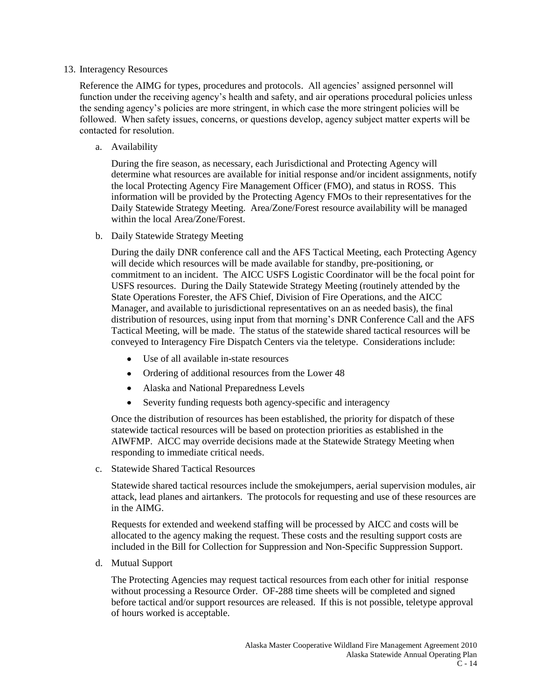#### 13. Interagency Resources

Reference the AIMG for types, procedures and protocols. All agencies' assigned personnel will function under the receiving agency's health and safety, and air operations procedural policies unless the sending agency's policies are more stringent, in which case the more stringent policies will be followed. When safety issues, concerns, or questions develop, agency subject matter experts will be contacted for resolution.

a. Availability

During the fire season, as necessary, each Jurisdictional and Protecting Agency will determine what resources are available for initial response and/or incident assignments, notify the local Protecting Agency Fire Management Officer (FMO), and status in ROSS. This information will be provided by the Protecting Agency FMOs to their representatives for the Daily Statewide Strategy Meeting. Area/Zone/Forest resource availability will be managed within the local Area/Zone/Forest.

b. Daily Statewide Strategy Meeting

During the daily DNR conference call and the AFS Tactical Meeting, each Protecting Agency will decide which resources will be made available for standby, pre-positioning, or commitment to an incident. The AICC USFS Logistic Coordinator will be the focal point for USFS resources. During the Daily Statewide Strategy Meeting (routinely attended by the State Operations Forester, the AFS Chief, Division of Fire Operations, and the AICC Manager, and available to jurisdictional representatives on an as needed basis), the final distribution of resources, using input from that morning's DNR Conference Call and the AFS Tactical Meeting, will be made. The status of the statewide shared tactical resources will be conveyed to Interagency Fire Dispatch Centers via the teletype. Considerations include:

- Use of all available in-state resources
- Ordering of additional resources from the Lower 48
- $\bullet$ Alaska and National Preparedness Levels
- Severity funding requests both agency-specific and interagency  $\bullet$

Once the distribution of resources has been established, the priority for dispatch of these statewide tactical resources will be based on protection priorities as established in the AIWFMP. AICC may override decisions made at the Statewide Strategy Meeting when responding to immediate critical needs.

c. Statewide Shared Tactical Resources

Statewide shared tactical resources include the smokejumpers, aerial supervision modules, air attack, lead planes and airtankers. The protocols for requesting and use of these resources are in the AIMG.

Requests for extended and weekend staffing will be processed by AICC and costs will be allocated to the agency making the request. These costs and the resulting support costs are included in the Bill for Collection for Suppression and Non-Specific Suppression Support.

d. Mutual Support

The Protecting Agencies may request tactical resources from each other for initial response without processing a Resource Order. OF-288 time sheets will be completed and signed before tactical and/or support resources are released. If this is not possible, teletype approval of hours worked is acceptable.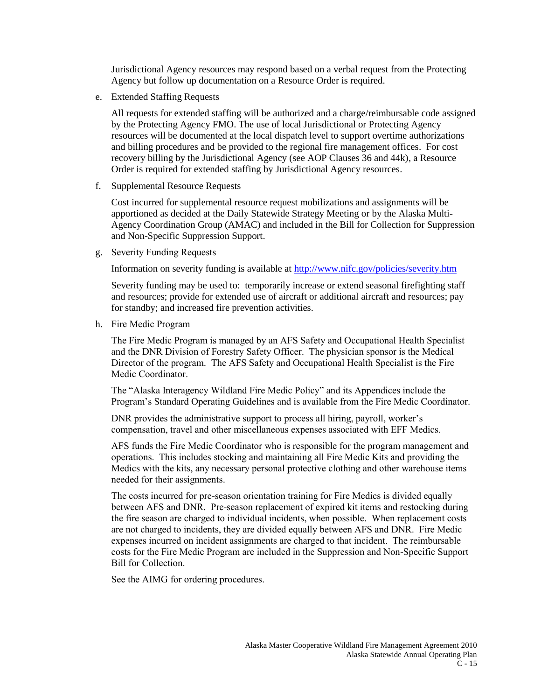Jurisdictional Agency resources may respond based on a verbal request from the Protecting Agency but follow up documentation on a Resource Order is required.

e. Extended Staffing Requests

All requests for extended staffing will be authorized and a charge/reimbursable code assigned by the Protecting Agency FMO. The use of local Jurisdictional or Protecting Agency resources will be documented at the local dispatch level to support overtime authorizations and billing procedures and be provided to the regional fire management offices. For cost recovery billing by the Jurisdictional Agency (see AOP Clauses 36 and 44k), a Resource Order is required for extended staffing by Jurisdictional Agency resources.

f. Supplemental Resource Requests

Cost incurred for supplemental resource request mobilizations and assignments will be apportioned as decided at the Daily Statewide Strategy Meeting or by the Alaska Multi-Agency Coordination Group (AMAC) and included in the Bill for Collection for Suppression and Non-Specific Suppression Support.

g. Severity Funding Requests

Information on severity funding is available at<http://www.nifc.gov/policies/severity.htm>

Severity funding may be used to: temporarily increase or extend seasonal firefighting staff and resources; provide for extended use of aircraft or additional aircraft and resources; pay for standby; and increased fire prevention activities.

h. Fire Medic Program

The Fire Medic Program is managed by an AFS Safety and Occupational Health Specialist and the DNR Division of Forestry Safety Officer. The physician sponsor is the Medical Director of the program. The AFS Safety and Occupational Health Specialist is the Fire Medic Coordinator.

The "Alaska Interagency Wildland Fire Medic Policy" and its Appendices include the Program's Standard Operating Guidelines and is available from the Fire Medic Coordinator.

DNR provides the administrative support to process all hiring, payroll, worker's compensation, travel and other miscellaneous expenses associated with EFF Medics.

AFS funds the Fire Medic Coordinator who is responsible for the program management and operations. This includes stocking and maintaining all Fire Medic Kits and providing the Medics with the kits, any necessary personal protective clothing and other warehouse items needed for their assignments.

The costs incurred for pre-season orientation training for Fire Medics is divided equally between AFS and DNR. Pre-season replacement of expired kit items and restocking during the fire season are charged to individual incidents, when possible. When replacement costs are not charged to incidents, they are divided equally between AFS and DNR. Fire Medic expenses incurred on incident assignments are charged to that incident. The reimbursable costs for the Fire Medic Program are included in the Suppression and Non-Specific Support Bill for Collection.

See the AIMG for ordering procedures.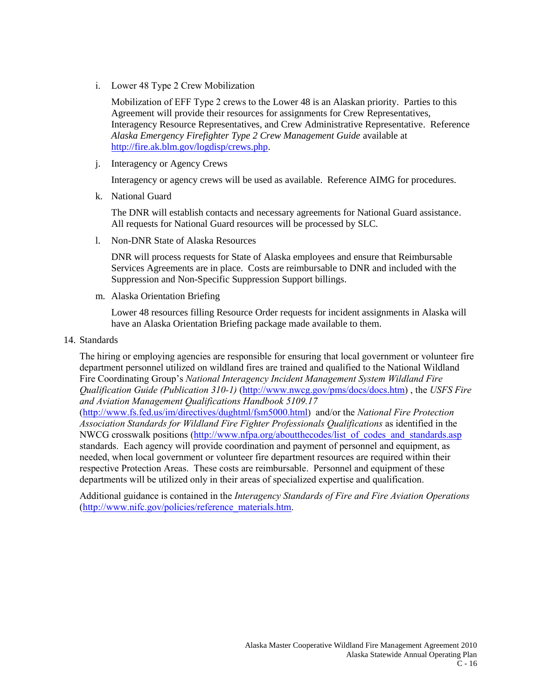i. Lower 48 Type 2 Crew Mobilization

Mobilization of EFF Type 2 crews to the Lower 48 is an Alaskan priority. Parties to this Agreement will provide their resources for assignments for Crew Representatives, Interagency Resource Representatives, and Crew Administrative Representative. Reference *Alaska Emergency Firefighter Type 2 Crew Management Guide* available at [http://fire.ak.blm.gov/logdisp/crews.php.](http://fire.ak.blm.gov/logdisp/crews.php)

j. Interagency or Agency Crews

Interagency or agency crews will be used as available. Reference AIMG for procedures.

k. National Guard

The DNR will establish contacts and necessary agreements for National Guard assistance. All requests for National Guard resources will be processed by SLC.

l. Non-DNR State of Alaska Resources

DNR will process requests for State of Alaska employees and ensure that Reimbursable Services Agreements are in place. Costs are reimbursable to DNR and included with the Suppression and Non-Specific Suppression Support billings.

m. Alaska Orientation Briefing

Lower 48 resources filling Resource Order requests for incident assignments in Alaska will have an Alaska Orientation Briefing package made available to them.

14. Standards

The hiring or employing agencies are responsible for ensuring that local government or volunteer fire department personnel utilized on wildland fires are trained and qualified to the National Wildland Fire Coordinating Group's *National Interagency Incident Management System Wildland Fire Qualification Guide (Publication 310-1)* [\(http://www.nwcg.gov/pms/docs/docs.htm\)](http://www.nwcg.gov/pms/docs/docs.htm) , the *USFS Fire and Aviation Management Qualifications Handbook 5109.17*

[\(http://www.fs.fed.us/im/directives/dughtml/fsm5000.html](http://www.fs.fed.us/im/directives/dughtml/fsm5000.html)) and/or the *National Fire Protection Association Standards for Wildland Fire Fighter Professionals Qualifications* as identified in the NWCG crosswalk positions [\(http://www.nfpa.org/aboutthecodes/list\\_of\\_codes\\_and\\_standards.asp](http://www.nfpa.org/aboutthecodes/list_of_codes_and_standards.asp) standards. Each agency will provide coordination and payment of personnel and equipment, as needed, when local government or volunteer fire department resources are required within their respective Protection Areas. These costs are reimbursable. Personnel and equipment of these departments will be utilized only in their areas of specialized expertise and qualification.

Additional guidance is contained in the *Interagency Standards of Fire and Fire Aviation Operations* [\(http://www.nifc.gov/policies/reference\\_materials.htm.](http://www.nifc.gov/policies/reference_materials.htm)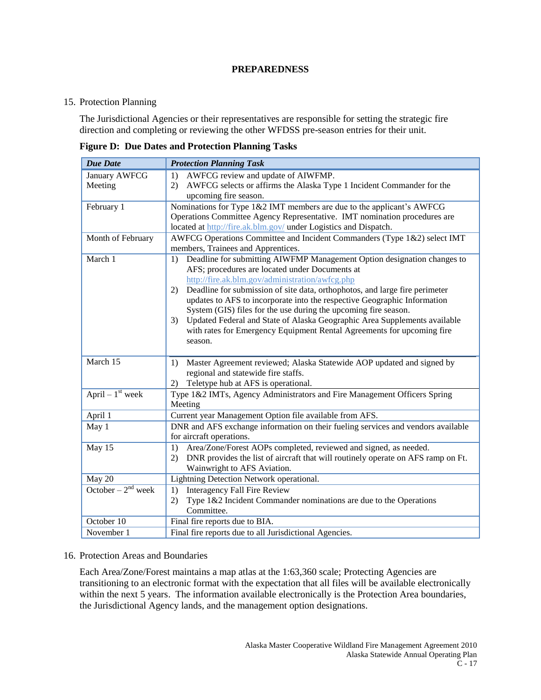## **PREPAREDNESS**

# 15. Protection Planning

The Jurisdictional Agencies or their representatives are responsible for setting the strategic fire direction and completing or reviewing the other WFDSS pre-season entries for their unit.

**Figure D: Due Dates and Protection Planning Tasks**

| <b>Due Date</b>      | <b>Protection Planning Task</b>                                                                                                      |  |  |  |  |
|----------------------|--------------------------------------------------------------------------------------------------------------------------------------|--|--|--|--|
| <b>January AWFCG</b> | AWFCG review and update of AIWFMP.<br>1)                                                                                             |  |  |  |  |
| Meeting              | AWFCG selects or affirms the Alaska Type 1 Incident Commander for the<br>2)                                                          |  |  |  |  |
|                      | upcoming fire season.                                                                                                                |  |  |  |  |
| February 1           | Nominations for Type 1&2 IMT members are due to the applicant's AWFCG                                                                |  |  |  |  |
|                      | Operations Committee Agency Representative. IMT nomination procedures are                                                            |  |  |  |  |
|                      | located at http://fire.ak.blm.gov/ under Logistics and Dispatch.                                                                     |  |  |  |  |
| Month of February    | AWFCG Operations Committee and Incident Commanders (Type 1&2) select IMT                                                             |  |  |  |  |
|                      | members, Trainees and Apprentices.                                                                                                   |  |  |  |  |
| March 1              | 1) Deadline for submitting AIWFMP Management Option designation changes to                                                           |  |  |  |  |
|                      | AFS; procedures are located under Documents at                                                                                       |  |  |  |  |
|                      | http://fire.ak.blm.gov/administration/awfcg.php<br>Deadline for submission of site data, orthophotos, and large fire perimeter<br>2) |  |  |  |  |
|                      | updates to AFS to incorporate into the respective Geographic Information                                                             |  |  |  |  |
|                      | System (GIS) files for the use during the upcoming fire season.                                                                      |  |  |  |  |
|                      | Updated Federal and State of Alaska Geographic Area Supplements available<br>3)                                                      |  |  |  |  |
|                      | with rates for Emergency Equipment Rental Agreements for upcoming fire                                                               |  |  |  |  |
|                      | season.                                                                                                                              |  |  |  |  |
|                      |                                                                                                                                      |  |  |  |  |
| March 15             | Master Agreement reviewed; Alaska Statewide AOP updated and signed by<br>1)                                                          |  |  |  |  |
|                      | regional and statewide fire staffs.                                                                                                  |  |  |  |  |
|                      | Teletype hub at AFS is operational.<br>2)                                                                                            |  |  |  |  |
| April – $1st$ week   | Type 1&2 IMTs, Agency Administrators and Fire Management Officers Spring                                                             |  |  |  |  |
|                      | Meeting                                                                                                                              |  |  |  |  |
| April 1              | Current year Management Option file available from AFS.                                                                              |  |  |  |  |
| May 1                | DNR and AFS exchange information on their fueling services and vendors available                                                     |  |  |  |  |
|                      | for aircraft operations.                                                                                                             |  |  |  |  |
| May 15               | Area/Zone/Forest AOPs completed, reviewed and signed, as needed.<br>1)                                                               |  |  |  |  |
|                      | DNR provides the list of aircraft that will routinely operate on AFS ramp on Ft.<br>2)                                               |  |  |  |  |
|                      | Wainwright to AFS Aviation.                                                                                                          |  |  |  |  |
| May 20               | Lightning Detection Network operational.                                                                                             |  |  |  |  |
| October – $2nd$ week | Interagency Fall Fire Review<br>1)                                                                                                   |  |  |  |  |
|                      | Type 1&2 Incident Commander nominations are due to the Operations<br>2)                                                              |  |  |  |  |
|                      | Committee.                                                                                                                           |  |  |  |  |
| October 10           | Final fire reports due to BIA.                                                                                                       |  |  |  |  |
| November 1           | Final fire reports due to all Jurisdictional Agencies.                                                                               |  |  |  |  |

## 16. Protection Areas and Boundaries

Each Area/Zone/Forest maintains a map atlas at the 1:63,360 scale; Protecting Agencies are transitioning to an electronic format with the expectation that all files will be available electronically within the next 5 years. The information available electronically is the Protection Area boundaries, the Jurisdictional Agency lands, and the management option designations.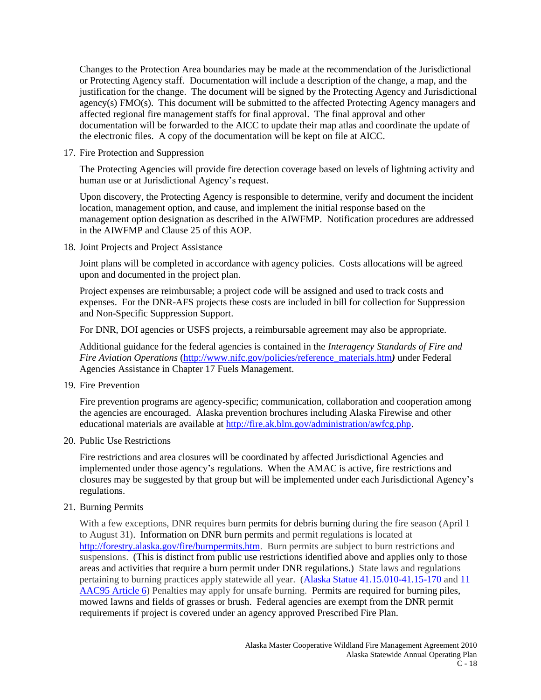Changes to the Protection Area boundaries may be made at the recommendation of the Jurisdictional or Protecting Agency staff. Documentation will include a description of the change, a map, and the justification for the change. The document will be signed by the Protecting Agency and Jurisdictional agency(s) FMO(s). This document will be submitted to the affected Protecting Agency managers and affected regional fire management staffs for final approval. The final approval and other documentation will be forwarded to the AICC to update their map atlas and coordinate the update of the electronic files. A copy of the documentation will be kept on file at AICC.

17. Fire Protection and Suppression

The Protecting Agencies will provide fire detection coverage based on levels of lightning activity and human use or at Jurisdictional Agency's request.

Upon discovery, the Protecting Agency is responsible to determine, verify and document the incident location, management option, and cause, and implement the initial response based on the management option designation as described in the AIWFMP. Notification procedures are addressed in the AIWFMP and Clause 25 of this AOP.

18. Joint Projects and Project Assistance

Joint plans will be completed in accordance with agency policies. Costs allocations will be agreed upon and documented in the project plan.

Project expenses are reimbursable; a project code will be assigned and used to track costs and expenses. For the DNR-AFS projects these costs are included in bill for collection for Suppression and Non-Specific Suppression Support.

For DNR, DOI agencies or USFS projects, a reimbursable agreement may also be appropriate.

Additional guidance for the federal agencies is contained in the *Interagency Standards of Fire and Fire Aviation Operations* [\(http://www.nifc.gov/policies/reference\\_materials.htm](http://www.nifc.gov/policies/reference_materials.htm)*)* under Federal Agencies Assistance in Chapter 17 Fuels Management.

19. Fire Prevention

Fire prevention programs are agency-specific; communication, collaboration and cooperation among the agencies are encouraged. Alaska prevention brochures including Alaska Firewise and other educational materials are available at [http://fire.ak.blm.gov/administration/awfcg.php.](http://fire.ak.blm.gov/administration/awfcg.php)

20. Public Use Restrictions

Fire restrictions and area closures will be coordinated by affected Jurisdictional Agencies and implemented under those agency's regulations. When the AMAC is active, fire restrictions and closures may be suggested by that group but will be implemented under each Jurisdictional Agency's regulations.

21. Burning Permits

With a few exceptions, DNR requires burn permits for debris burning during the fire season (April 1) to August 31). Information on DNR burn permits and permit regulations is located at [http://forestry.alaska.gov/fire/burnpermits.htm.](http://forestry.alaska.gov/fire/burnpermits.htm) Burn permits are subject to burn restrictions and suspensions. (This is distinct from public use restrictions identified above and applies only to those areas and activities that require a burn permit under DNR regulations.) State laws and regulations pertaining to burning practices apply statewide all year. (Alaska Statue [41.15.010-41.15-170](http://forestry.alaska.gov/pdfs/AS4115.pdf) and [11](http://forestry.alaska.gov/pdfs/11AAC95art6.pdf)  [AAC95 Article 6\)](http://forestry.alaska.gov/pdfs/11AAC95art6.pdf) Penalties may apply for unsafe burning. Permits are required for burning piles, mowed lawns and fields of grasses or brush. Federal agencies are exempt from the DNR permit requirements if project is covered under an agency approved Prescribed Fire Plan.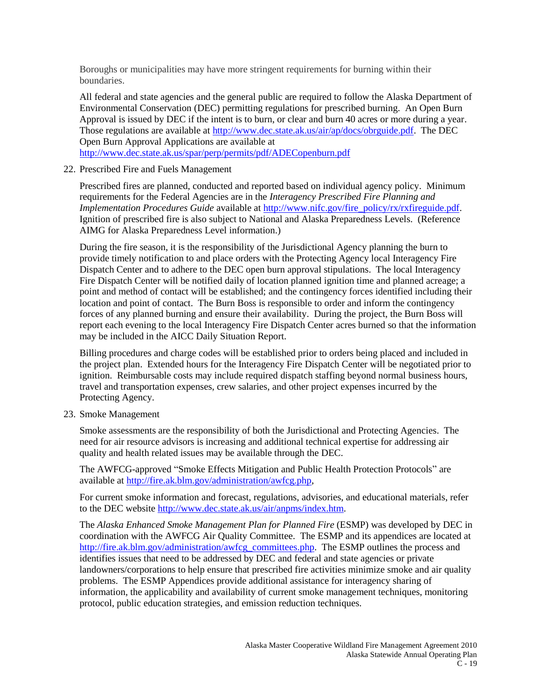Boroughs or municipalities may have more stringent requirements for burning within their boundaries.

All federal and state agencies and the general public are required to follow the Alaska Department of Environmental Conservation (DEC) permitting regulations for prescribed burning. An Open Burn Approval is issued by DEC if the intent is to burn, or clear and burn 40 acres or more during a year. Those regulations are available at [http://www.dec.state.ak.us/air/ap/docs/obrguide.pdf.](http://www.dec.state.ak.us/air/ap/docs/obrguide.pdf) The DEC Open Burn Approval Applications are available at <http://www.dec.state.ak.us/spar/perp/permits/pdf/ADECopenburn.pdf>

22. Prescribed Fire and Fuels Management

Prescribed fires are planned, conducted and reported based on individual agency policy. Minimum requirements for the Federal Agencies are in the *Interagency Prescribed Fire Planning and Implementation Procedures Guide* available at [http://www.nifc.gov/fire\\_policy/rx/rxfireguide.pdf.](http://www.nifc.gov/fire_policy/rx/rxfireguide.pdf) Ignition of prescribed fire is also subject to National and Alaska Preparedness Levels. (Reference AIMG for Alaska Preparedness Level information.)

During the fire season, it is the responsibility of the Jurisdictional Agency planning the burn to provide timely notification to and place orders with the Protecting Agency local Interagency Fire Dispatch Center and to adhere to the DEC open burn approval stipulations. The local Interagency Fire Dispatch Center will be notified daily of location planned ignition time and planned acreage; a point and method of contact will be established; and the contingency forces identified including their location and point of contact. The Burn Boss is responsible to order and inform the contingency forces of any planned burning and ensure their availability. During the project, the Burn Boss will report each evening to the local Interagency Fire Dispatch Center acres burned so that the information may be included in the AICC Daily Situation Report.

Billing procedures and charge codes will be established prior to orders being placed and included in the project plan. Extended hours for the Interagency Fire Dispatch Center will be negotiated prior to ignition. Reimbursable costs may include required dispatch staffing beyond normal business hours, travel and transportation expenses, crew salaries, and other project expenses incurred by the Protecting Agency.

23. Smoke Management

Smoke assessments are the responsibility of both the Jurisdictional and Protecting Agencies. The need for air resource advisors is increasing and additional technical expertise for addressing air quality and health related issues may be available through the DEC.

The AWFCG-approved "Smoke Effects Mitigation and Public Health Protection Protocols" are available at [http://fire.ak.blm.gov/administration/awfcg.php,](http://fire.ak.blm.gov/administration/awfcg.php)

For current smoke information and forecast, regulations, advisories, and educational materials, refer to the DEC website [http://www.dec.state.ak.us/air/anpms/index.htm.](http://www.dec.state.ak.us/air/anpms/index.htm)

The *Alaska Enhanced Smoke Management Plan for Planned Fire* (ESMP) was developed by DEC in coordination with the AWFCG Air Quality Committee. The ESMP and its appendices are located at [http://fire.ak.blm.gov/administration/awfcg\\_committees.php.](http://fire.ak.blm.gov/administration/awfcg_committees.php) The ESMP outlines the process and identifies issues that need to be addressed by DEC and federal and state agencies or private landowners/corporations to help ensure that prescribed fire activities minimize smoke and air quality problems. The ESMP Appendices provide additional assistance for interagency sharing of information, the applicability and availability of current smoke management techniques, monitoring protocol, public education strategies, and emission reduction techniques.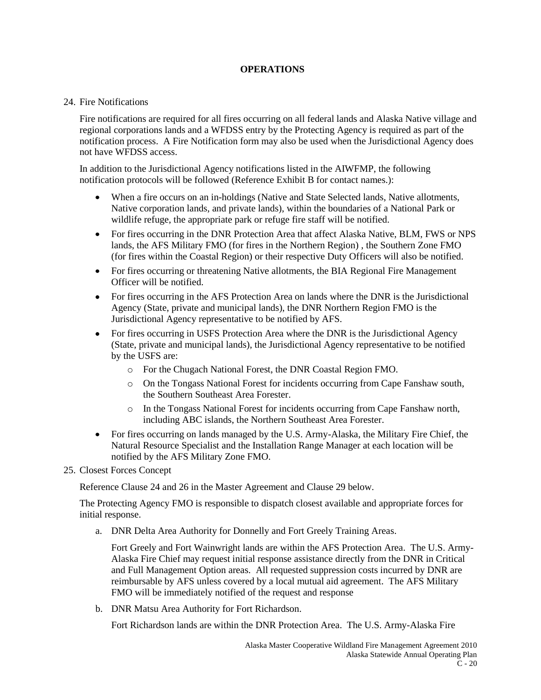## **OPERATIONS**

#### 24. Fire Notifications

Fire notifications are required for all fires occurring on all federal lands and Alaska Native village and regional corporations lands and a WFDSS entry by the Protecting Agency is required as part of the notification process. A Fire Notification form may also be used when the Jurisdictional Agency does not have WFDSS access.

In addition to the Jurisdictional Agency notifications listed in the AIWFMP, the following notification protocols will be followed (Reference Exhibit B for contact names.):

- When a fire occurs on an in-holdings (Native and State Selected lands, Native allotments, Native corporation lands, and private lands), within the boundaries of a National Park or wildlife refuge, the appropriate park or refuge fire staff will be notified.
- For fires occurring in the DNR Protection Area that affect Alaska Native, BLM, FWS or NPS lands, the AFS Military FMO (for fires in the Northern Region) , the Southern Zone FMO (for fires within the Coastal Region) or their respective Duty Officers will also be notified.
- For fires occurring or threatening Native allotments, the BIA Regional Fire Management Officer will be notified.
- For fires occurring in the AFS Protection Area on lands where the DNR is the Jurisdictional Agency (State, private and municipal lands), the DNR Northern Region FMO is the Jurisdictional Agency representative to be notified by AFS.
- For fires occurring in USFS Protection Area where the DNR is the Jurisdictional Agency (State, private and municipal lands), the Jurisdictional Agency representative to be notified by the USFS are:
	- o For the Chugach National Forest, the DNR Coastal Region FMO.
	- o On the Tongass National Forest for incidents occurring from Cape Fanshaw south, the Southern Southeast Area Forester.
	- o In the Tongass National Forest for incidents occurring from Cape Fanshaw north, including ABC islands, the Northern Southeast Area Forester.
- For fires occurring on lands managed by the U.S. Army-Alaska, the Military Fire Chief, the Natural Resource Specialist and the Installation Range Manager at each location will be notified by the AFS Military Zone FMO.
- 25. Closest Forces Concept

Reference Clause 24 and 26 in the Master Agreement and Clause 29 below.

The Protecting Agency FMO is responsible to dispatch closest available and appropriate forces for initial response.

a. DNR Delta Area Authority for Donnelly and Fort Greely Training Areas.

Fort Greely and Fort Wainwright lands are within the AFS Protection Area. The U.S. Army-Alaska Fire Chief may request initial response assistance directly from the DNR in Critical and Full Management Option areas. All requested suppression costs incurred by DNR are reimbursable by AFS unless covered by a local mutual aid agreement. The AFS Military FMO will be immediately notified of the request and response

b. DNR Matsu Area Authority for Fort Richardson.

Fort Richardson lands are within the DNR Protection Area. The U.S. Army-Alaska Fire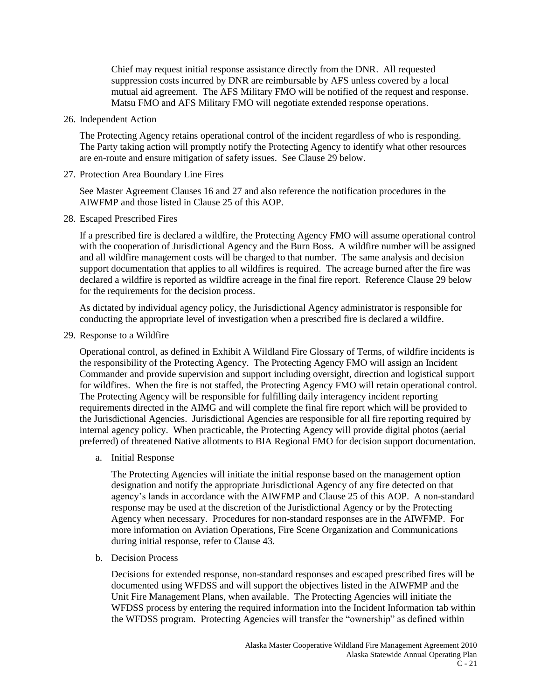Chief may request initial response assistance directly from the DNR. All requested suppression costs incurred by DNR are reimbursable by AFS unless covered by a local mutual aid agreement. The AFS Military FMO will be notified of the request and response. Matsu FMO and AFS Military FMO will negotiate extended response operations.

26. Independent Action

The Protecting Agency retains operational control of the incident regardless of who is responding. The Party taking action will promptly notify the Protecting Agency to identify what other resources are en-route and ensure mitigation of safety issues. See Clause 29 below.

27. Protection Area Boundary Line Fires

See Master Agreement Clauses 16 and 27 and also reference the notification procedures in the AIWFMP and those listed in Clause 25 of this AOP.

28. Escaped Prescribed Fires

If a prescribed fire is declared a wildfire, the Protecting Agency FMO will assume operational control with the cooperation of Jurisdictional Agency and the Burn Boss. A wildfire number will be assigned and all wildfire management costs will be charged to that number. The same analysis and decision support documentation that applies to all wildfires is required. The acreage burned after the fire was declared a wildfire is reported as wildfire acreage in the final fire report. Reference Clause 29 below for the requirements for the decision process.

As dictated by individual agency policy, the Jurisdictional Agency administrator is responsible for conducting the appropriate level of investigation when a prescribed fire is declared a wildfire.

29. Response to a Wildfire

Operational control, as defined in Exhibit A Wildland Fire Glossary of Terms, of wildfire incidents is the responsibility of the Protecting Agency. The Protecting Agency FMO will assign an Incident Commander and provide supervision and support including oversight, direction and logistical support for wildfires. When the fire is not staffed, the Protecting Agency FMO will retain operational control. The Protecting Agency will be responsible for fulfilling daily interagency incident reporting requirements directed in the AIMG and will complete the final fire report which will be provided to the Jurisdictional Agencies. Jurisdictional Agencies are responsible for all fire reporting required by internal agency policy. When practicable, the Protecting Agency will provide digital photos (aerial preferred) of threatened Native allotments to BIA Regional FMO for decision support documentation.

a. Initial Response

The Protecting Agencies will initiate the initial response based on the management option designation and notify the appropriate Jurisdictional Agency of any fire detected on that agency's lands in accordance with the AIWFMP and Clause 25 of this AOP. A non-standard response may be used at the discretion of the Jurisdictional Agency or by the Protecting Agency when necessary. Procedures for non-standard responses are in the AIWFMP. For more information on Aviation Operations, Fire Scene Organization and Communications during initial response, refer to Clause 43.

b. Decision Process

Decisions for extended response, non-standard responses and escaped prescribed fires will be documented using WFDSS and will support the objectives listed in the AIWFMP and the Unit Fire Management Plans, when available. The Protecting Agencies will initiate the WFDSS process by entering the required information into the Incident Information tab within the WFDSS program. Protecting Agencies will transfer the "ownership" as defined within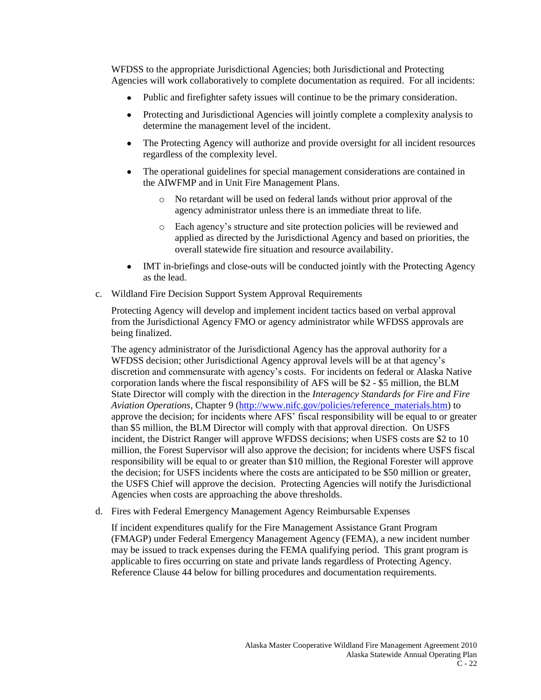WFDSS to the appropriate Jurisdictional Agencies; both Jurisdictional and Protecting Agencies will work collaboratively to complete documentation as required. For all incidents:

- Public and firefighter safety issues will continue to be the primary consideration.
- $\bullet$ Protecting and Jurisdictional Agencies will jointly complete a complexity analysis to determine the management level of the incident.
- $\bullet$ The Protecting Agency will authorize and provide oversight for all incident resources regardless of the complexity level.
- $\bullet$ The operational guidelines for special management considerations are contained in the AIWFMP and in Unit Fire Management Plans.
	- o No retardant will be used on federal lands without prior approval of the agency administrator unless there is an immediate threat to life.
	- o Each agency's structure and site protection policies will be reviewed and applied as directed by the Jurisdictional Agency and based on priorities, the overall statewide fire situation and resource availability.
- IMT in-briefings and close-outs will be conducted jointly with the Protecting Agency as the lead.
- c. Wildland Fire Decision Support System Approval Requirements

Protecting Agency will develop and implement incident tactics based on verbal approval from the Jurisdictional Agency FMO or agency administrator while WFDSS approvals are being finalized.

The agency administrator of the Jurisdictional Agency has the approval authority for a WFDSS decision; other Jurisdictional Agency approval levels will be at that agency's discretion and commensurate with agency's costs. For incidents on federal or Alaska Native corporation lands where the fiscal responsibility of AFS will be \$2 - \$5 million, the BLM State Director will comply with the direction in the *Interagency Standards for Fire and Fire Aviation Operations,* Chapter 9 [\(http://www.nifc.gov/policies/reference\\_materials.htm\)](http://www.nifc.gov/policies/reference_materials.htm) to approve the decision; for incidents where AFS' fiscal responsibility will be equal to or greater than \$5 million, the BLM Director will comply with that approval direction. On USFS incident, the District Ranger will approve WFDSS decisions; when USFS costs are \$2 to 10 million, the Forest Supervisor will also approve the decision; for incidents where USFS fiscal responsibility will be equal to or greater than \$10 million, the Regional Forester will approve the decision; for USFS incidents where the costs are anticipated to be \$50 million or greater, the USFS Chief will approve the decision. Protecting Agencies will notify the Jurisdictional Agencies when costs are approaching the above thresholds.

d. Fires with Federal Emergency Management Agency Reimbursable Expenses

If incident expenditures qualify for the Fire Management Assistance Grant Program (FMAGP) under Federal Emergency Management Agency (FEMA), a new incident number may be issued to track expenses during the FEMA qualifying period. This grant program is applicable to fires occurring on state and private lands regardless of Protecting Agency. Reference Clause 44 below for billing procedures and documentation requirements.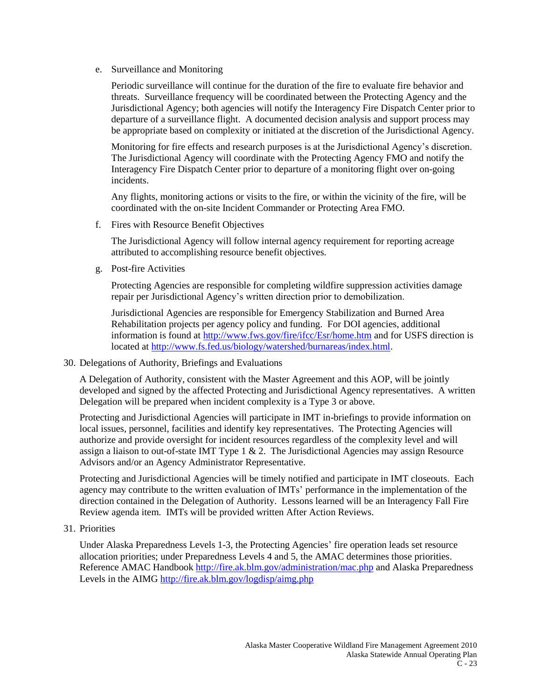e. Surveillance and Monitoring

Periodic surveillance will continue for the duration of the fire to evaluate fire behavior and threats. Surveillance frequency will be coordinated between the Protecting Agency and the Jurisdictional Agency; both agencies will notify the Interagency Fire Dispatch Center prior to departure of a surveillance flight. A documented decision analysis and support process may be appropriate based on complexity or initiated at the discretion of the Jurisdictional Agency.

Monitoring for fire effects and research purposes is at the Jurisdictional Agency's discretion. The Jurisdictional Agency will coordinate with the Protecting Agency FMO and notify the Interagency Fire Dispatch Center prior to departure of a monitoring flight over on-going incidents.

Any flights, monitoring actions or visits to the fire, or within the vicinity of the fire, will be coordinated with the on-site Incident Commander or Protecting Area FMO.

f. Fires with Resource Benefit Objectives

The Jurisdictional Agency will follow internal agency requirement for reporting acreage attributed to accomplishing resource benefit objectives.

g. Post-fire Activities

Protecting Agencies are responsible for completing wildfire suppression activities damage repair per Jurisdictional Agency's written direction prior to demobilization.

Jurisdictional Agencies are responsible for Emergency Stabilization and Burned Area Rehabilitation projects per agency policy and funding. For DOI agencies, additional information is found at<http://www.fws.gov/fire/ifcc/Esr/home.htm> and for USFS direction is located at [http://www.fs.fed.us/biology/watershed/burnareas/index.html.](http://www.fs.fed.us/biology/watershed/burnareas/index.html)

30. Delegations of Authority, Briefings and Evaluations

A Delegation of Authority, consistent with the Master Agreement and this AOP, will be jointly developed and signed by the affected Protecting and Jurisdictional Agency representatives. A written Delegation will be prepared when incident complexity is a Type 3 or above.

Protecting and Jurisdictional Agencies will participate in IMT in-briefings to provide information on local issues, personnel, facilities and identify key representatives. The Protecting Agencies will authorize and provide oversight for incident resources regardless of the complexity level and will assign a liaison to out-of-state IMT Type  $1 \& 2$ . The Jurisdictional Agencies may assign Resource Advisors and/or an Agency Administrator Representative.

Protecting and Jurisdictional Agencies will be timely notified and participate in IMT closeouts. Each agency may contribute to the written evaluation of IMTs' performance in the implementation of the direction contained in the Delegation of Authority. Lessons learned will be an Interagency Fall Fire Review agenda item. IMTs will be provided written After Action Reviews.

31. Priorities

Under Alaska Preparedness Levels 1-3, the Protecting Agencies' fire operation leads set resource allocation priorities; under Preparedness Levels 4 and 5, the AMAC determines those priorities. Reference AMAC Handboo[k http://fire.ak.blm.gov/administration/mac.php](http://fire.ak.blm.gov/administration/mac.php) and Alaska Preparedness Levels in the AIMG<http://fire.ak.blm.gov/logdisp/aimg.php>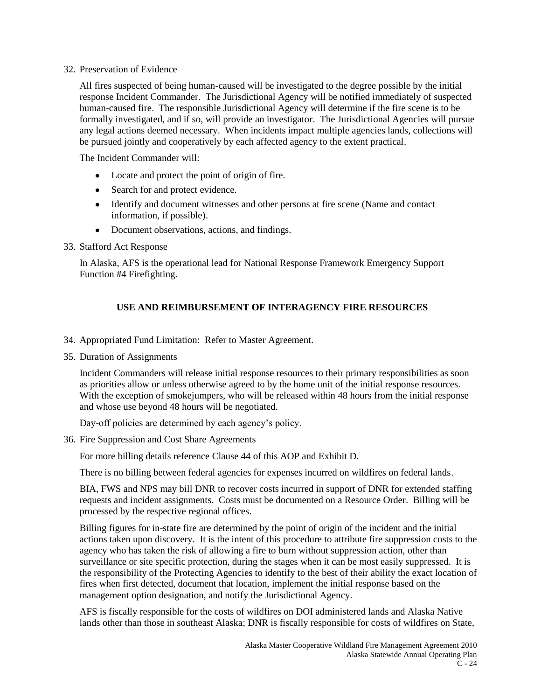## 32. Preservation of Evidence

All fires suspected of being human-caused will be investigated to the degree possible by the initial response Incident Commander. The Jurisdictional Agency will be notified immediately of suspected human-caused fire. The responsible Jurisdictional Agency will determine if the fire scene is to be formally investigated, and if so, will provide an investigator. The Jurisdictional Agencies will pursue any legal actions deemed necessary. When incidents impact multiple agencies lands, collections will be pursued jointly and cooperatively by each affected agency to the extent practical.

The Incident Commander will:

- Locate and protect the point of origin of fire.
- Search for and protect evidence.
- Identify and document witnesses and other persons at fire scene (Name and contact information, if possible).
- Document observations, actions, and findings.
- 33. Stafford Act Response

In Alaska, AFS is the operational lead for National Response Framework Emergency Support Function #4 Firefighting.

## **USE AND REIMBURSEMENT OF INTERAGENCY FIRE RESOURCES**

- 34. Appropriated Fund Limitation: Refer to Master Agreement.
- 35. Duration of Assignments

Incident Commanders will release initial response resources to their primary responsibilities as soon as priorities allow or unless otherwise agreed to by the home unit of the initial response resources. With the exception of smokejumpers, who will be released within 48 hours from the initial response and whose use beyond 48 hours will be negotiated.

Day-off policies are determined by each agency's policy.

36. Fire Suppression and Cost Share Agreements

For more billing details reference Clause 44 of this AOP and Exhibit D.

There is no billing between federal agencies for expenses incurred on wildfires on federal lands.

BIA, FWS and NPS may bill DNR to recover costs incurred in support of DNR for extended staffing requests and incident assignments. Costs must be documented on a Resource Order. Billing will be processed by the respective regional offices.

Billing figures for in-state fire are determined by the point of origin of the incident and the initial actions taken upon discovery. It is the intent of this procedure to attribute fire suppression costs to the agency who has taken the risk of allowing a fire to burn without suppression action, other than surveillance or site specific protection, during the stages when it can be most easily suppressed. It is the responsibility of the Protecting Agencies to identify to the best of their ability the exact location of fires when first detected, document that location, implement the initial response based on the management option designation, and notify the Jurisdictional Agency.

AFS is fiscally responsible for the costs of wildfires on DOI administered lands and Alaska Native lands other than those in southeast Alaska; DNR is fiscally responsible for costs of wildfires on State,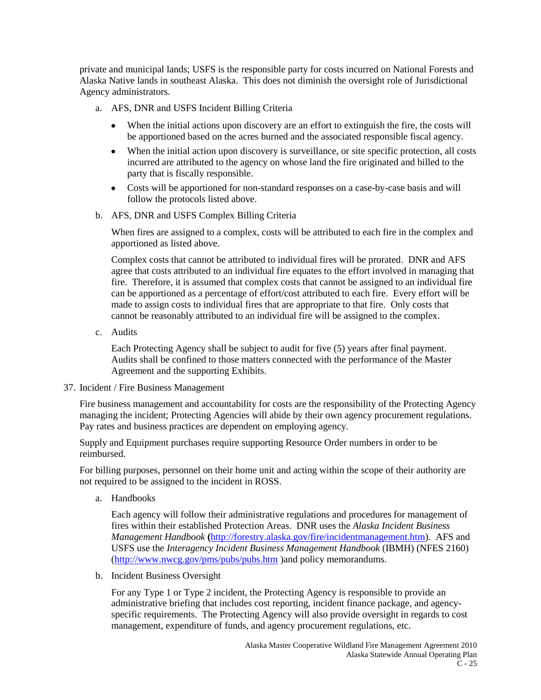private and municipal lands; USFS is the responsible party for costs incurred on National Forests and Alaska Native lands in southeast Alaska. This does not diminish the oversight role of Jurisdictional Agency administrators.

- a. AFS, DNR and USFS Incident Billing Criteria
	- When the initial actions upon discovery are an effort to extinguish the fire, the costs will be apportioned based on the acres burned and the associated responsible fiscal agency.
	- When the initial action upon discovery is surveillance, or site specific protection, all costs  $\bullet$ incurred are attributed to the agency on whose land the fire originated and billed to the party that is fiscally responsible.
	- $\bullet$ Costs will be apportioned for non-standard responses on a case-by-case basis and will follow the protocols listed above.
- b. AFS, DNR and USFS Complex Billing Criteria

When fires are assigned to a complex, costs will be attributed to each fire in the complex and apportioned as listed above.

Complex costs that cannot be attributed to individual fires will be prorated. DNR and AFS agree that costs attributed to an individual fire equates to the effort involved in managing that fire. Therefore, it is assumed that complex costs that cannot be assigned to an individual fire can be apportioned as a percentage of effort/cost attributed to each fire. Every effort will be made to assign costs to individual fires that are appropriate to that fire. Only costs that cannot be reasonably attributed to an individual fire will be assigned to the complex.

c. Audits

Each Protecting Agency shall be subject to audit for five (5) years after final payment. Audits shall be confined to those matters connected with the performance of the Master Agreement and the supporting Exhibits.

37. Incident / Fire Business Management

Fire business management and accountability for costs are the responsibility of the Protecting Agency managing the incident; Protecting Agencies will abide by their own agency procurement regulations. Pay rates and business practices are dependent on employing agency.

Supply and Equipment purchases require supporting Resource Order numbers in order to be reimbursed.

For billing purposes, personnel on their home unit and acting within the scope of their authority are not required to be assigned to the incident in ROSS.

a. Handbooks

Each agency will follow their administrative regulations and procedures for management of fires within their established Protection Areas. DNR uses the *Alaska Incident Business Management Handbook* **(**[http://forestry.alaska.gov/fire/incidentmanagement.htm\)](http://forestry.alaska.gov/fire/incidentmanagement.htm). AFS and USFS use the *Interagency Incident Business Management Handbook* (IBMH) (NFES 2160) [\(http://www.nwcg.gov/pms/pubs/pubs.htm](http://www.nwcg.gov/pms/pubs/pubs.htm) )and policy memorandums.

b. Incident Business Oversight

For any Type 1 or Type 2 incident, the Protecting Agency is responsible to provide an administrative briefing that includes cost reporting, incident finance package, and agencyspecific requirements. The Protecting Agency will also provide oversight in regards to cost management, expenditure of funds, and agency procurement regulations, etc.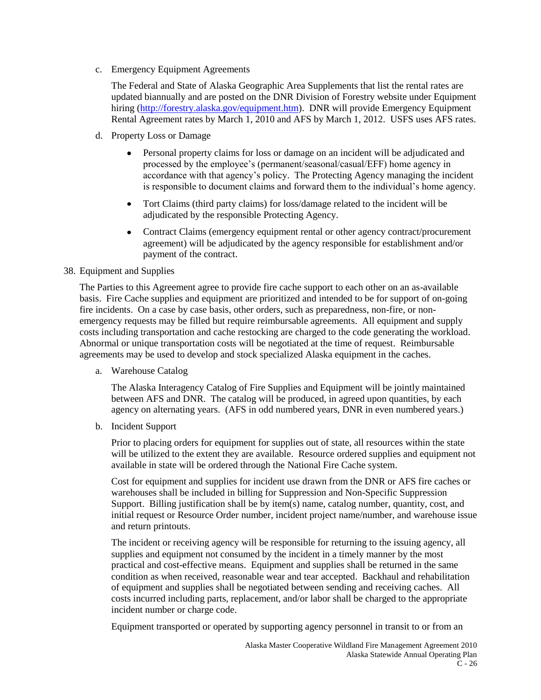c. Emergency Equipment Agreements

The Federal and State of Alaska Geographic Area Supplements that list the rental rates are updated biannually and are posted on the DNR Division of Forestry website under Equipment hiring [\(http://forestry.alaska.gov/equipment.htm\)](http://forestry.alaska.gov/equipment.htm). DNR will provide Emergency Equipment Rental Agreement rates by March 1, 2010 and AFS by March 1, 2012. USFS uses AFS rates.

- d. Property Loss or Damage
	- Personal property claims for loss or damage on an incident will be adjudicated and processed by the employee's (permanent/seasonal/casual/EFF) home agency in accordance with that agency's policy. The Protecting Agency managing the incident is responsible to document claims and forward them to the individual's home agency.
	- Tort Claims (third party claims) for loss/damage related to the incident will be  $\bullet$ adjudicated by the responsible Protecting Agency.
	- $\bullet$ Contract Claims (emergency equipment rental or other agency contract/procurement agreement) will be adjudicated by the agency responsible for establishment and/or payment of the contract.

## 38. Equipment and Supplies

The Parties to this Agreement agree to provide fire cache support to each other on an as-available basis. Fire Cache supplies and equipment are prioritized and intended to be for support of on-going fire incidents. On a case by case basis, other orders, such as preparedness, non-fire, or nonemergency requests may be filled but require reimbursable agreements. All equipment and supply costs including transportation and cache restocking are charged to the code generating the workload. Abnormal or unique transportation costs will be negotiated at the time of request. Reimbursable agreements may be used to develop and stock specialized Alaska equipment in the caches.

a. Warehouse Catalog

The Alaska Interagency Catalog of Fire Supplies and Equipment will be jointly maintained between AFS and DNR. The catalog will be produced, in agreed upon quantities, by each agency on alternating years. (AFS in odd numbered years, DNR in even numbered years.)

b. Incident Support

Prior to placing orders for equipment for supplies out of state, all resources within the state will be utilized to the extent they are available. Resource ordered supplies and equipment not available in state will be ordered through the National Fire Cache system.

Cost for equipment and supplies for incident use drawn from the DNR or AFS fire caches or warehouses shall be included in billing for Suppression and Non-Specific Suppression Support. Billing justification shall be by item(s) name, catalog number, quantity, cost, and initial request or Resource Order number, incident project name/number, and warehouse issue and return printouts.

The incident or receiving agency will be responsible for returning to the issuing agency, all supplies and equipment not consumed by the incident in a timely manner by the most practical and cost-effective means. Equipment and supplies shall be returned in the same condition as when received, reasonable wear and tear accepted. Backhaul and rehabilitation of equipment and supplies shall be negotiated between sending and receiving caches. All costs incurred including parts, replacement, and/or labor shall be charged to the appropriate incident number or charge code.

Equipment transported or operated by supporting agency personnel in transit to or from an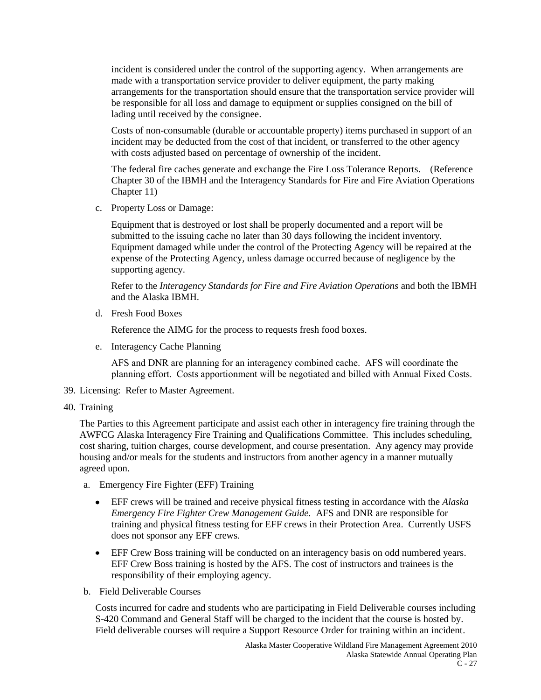incident is considered under the control of the supporting agency. When arrangements are made with a transportation service provider to deliver equipment, the party making arrangements for the transportation should ensure that the transportation service provider will be responsible for all loss and damage to equipment or supplies consigned on the bill of lading until received by the consignee.

Costs of non-consumable (durable or accountable property) items purchased in support of an incident may be deducted from the cost of that incident, or transferred to the other agency with costs adjusted based on percentage of ownership of the incident.

The federal fire caches generate and exchange the Fire Loss Tolerance Reports. (Reference Chapter 30 of the IBMH and the Interagency Standards for Fire and Fire Aviation Operations Chapter 11)

c. Property Loss or Damage:

Equipment that is destroyed or lost shall be properly documented and a report will be submitted to the issuing cache no later than 30 days following the incident inventory. Equipment damaged while under the control of the Protecting Agency will be repaired at the expense of the Protecting Agency, unless damage occurred because of negligence by the supporting agency.

Refer to the *Interagency Standards for Fire and Fire Aviation Operations* and both the IBMH and the Alaska IBMH.

d. Fresh Food Boxes

Reference the AIMG for the process to requests fresh food boxes.

e. Interagency Cache Planning

AFS and DNR are planning for an interagency combined cache. AFS will coordinate the planning effort. Costs apportionment will be negotiated and billed with Annual Fixed Costs.

- 39. Licensing: Refer to Master Agreement.
- 40. Training

The Parties to this Agreement participate and assist each other in interagency fire training through the AWFCG Alaska Interagency Fire Training and Qualifications Committee. This includes scheduling, cost sharing, tuition charges, course development, and course presentation. Any agency may provide housing and/or meals for the students and instructors from another agency in a manner mutually agreed upon.

- a. Emergency Fire Fighter (EFF) Training
	- EFF crews will be trained and receive physical fitness testing in accordance with the *Alaska Emergency Fire Fighter Crew Management Guide.* AFS and DNR are responsible for training and physical fitness testing for EFF crews in their Protection Area. Currently USFS does not sponsor any EFF crews.
	- EFF Crew Boss training will be conducted on an interagency basis on odd numbered years. EFF Crew Boss training is hosted by the AFS. The cost of instructors and trainees is the responsibility of their employing agency.
- b. Field Deliverable Courses

Costs incurred for cadre and students who are participating in Field Deliverable courses including S-420 Command and General Staff will be charged to the incident that the course is hosted by. Field deliverable courses will require a Support Resource Order for training within an incident.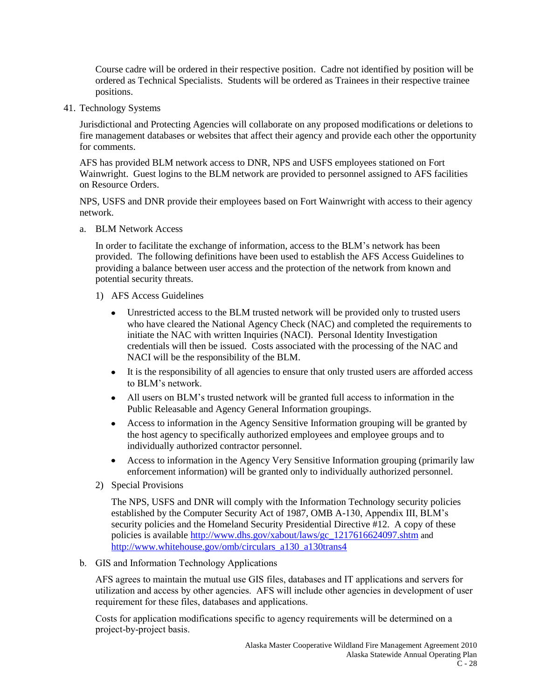Course cadre will be ordered in their respective position. Cadre not identified by position will be ordered as Technical Specialists. Students will be ordered as Trainees in their respective trainee positions.

41. Technology Systems

Jurisdictional and Protecting Agencies will collaborate on any proposed modifications or deletions to fire management databases or websites that affect their agency and provide each other the opportunity for comments.

AFS has provided BLM network access to DNR, NPS and USFS employees stationed on Fort Wainwright. Guest logins to the BLM network are provided to personnel assigned to AFS facilities on Resource Orders.

NPS, USFS and DNR provide their employees based on Fort Wainwright with access to their agency network.

a. BLM Network Access

In order to facilitate the exchange of information, access to the BLM's network has been provided. The following definitions have been used to establish the AFS Access Guidelines to providing a balance between user access and the protection of the network from known and potential security threats.

- 1) AFS Access Guidelines
	- Unrestricted access to the BLM trusted network will be provided only to trusted users  $\bullet$ who have cleared the National Agency Check (NAC) and completed the requirements to initiate the NAC with written Inquiries (NACI). Personal Identity Investigation credentials will then be issued. Costs associated with the processing of the NAC and NACI will be the responsibility of the BLM.
	- $\bullet$ It is the responsibility of all agencies to ensure that only trusted users are afforded access to BLM's network.
	- All users on BLM's trusted network will be granted full access to information in the Public Releasable and Agency General Information groupings.
	- Access to information in the Agency Sensitive Information grouping will be granted by  $\bullet$ the host agency to specifically authorized employees and employee groups and to individually authorized contractor personnel.
	- Access to information in the Agency Very Sensitive Information grouping (primarily law  $\bullet$ enforcement information) will be granted only to individually authorized personnel.
- 2) Special Provisions

The NPS, USFS and DNR will comply with the Information Technology security policies established by the Computer Security Act of 1987, OMB A-130, Appendix III, BLM's security policies and the Homeland Security Presidential Directive #12. A copy of these policies is available [http://www.dhs.gov/xabout/laws/gc\\_1217616624097.shtm](http://www.dhs.gov/xabout/laws/gc_1217616624097.shtm) and [http://www.whitehouse.gov/omb/circulars\\_a130\\_a130trans4](http://www.whitehouse.gov/omb/circulars_a130_a130trans4)

b. GIS and Information Technology Applications

AFS agrees to maintain the mutual use GIS files, databases and IT applications and servers for utilization and access by other agencies. AFS will include other agencies in development of user requirement for these files, databases and applications.

Costs for application modifications specific to agency requirements will be determined on a project-by-project basis.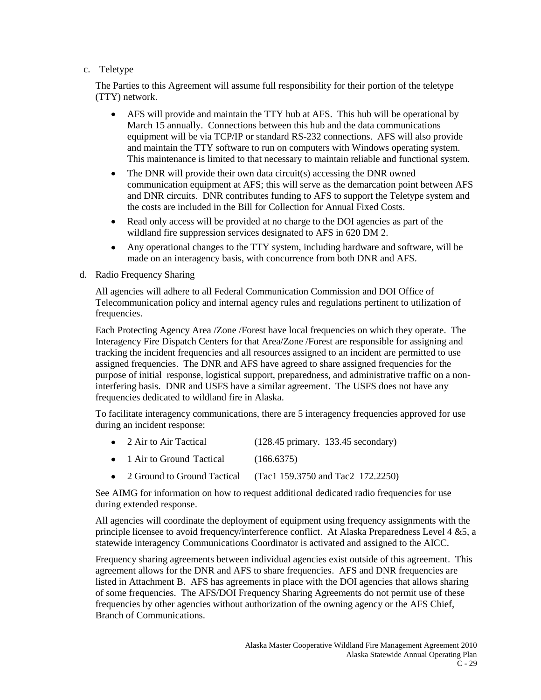# c. Teletype

The Parties to this Agreement will assume full responsibility for their portion of the teletype (TTY) network.

- AFS will provide and maintain the TTY hub at AFS. This hub will be operational by  $\bullet$ March 15 annually. Connections between this hub and the data communications equipment will be via TCP/IP or standard RS-232 connections. AFS will also provide and maintain the TTY software to run on computers with Windows operating system. This maintenance is limited to that necessary to maintain reliable and functional system.
- The DNR will provide their own data circuit(s) accessing the DNR owned  $\bullet$ communication equipment at AFS; this will serve as the demarcation point between AFS and DNR circuits. DNR contributes funding to AFS to support the Teletype system and the costs are included in the Bill for Collection for Annual Fixed Costs.
- Read only access will be provided at no charge to the DOI agencies as part of the  $\bullet$ wildland fire suppression services designated to AFS in 620 DM 2.
- Any operational changes to the TTY system, including hardware and software, will be  $\bullet$ made on an interagency basis, with concurrence from both DNR and AFS.
- d. Radio Frequency Sharing

All agencies will adhere to all Federal Communication Commission and DOI Office of Telecommunication policy and internal agency rules and regulations pertinent to utilization of frequencies.

Each Protecting Agency Area /Zone /Forest have local frequencies on which they operate. The Interagency Fire Dispatch Centers for that Area/Zone /Forest are responsible for assigning and tracking the incident frequencies and all resources assigned to an incident are permitted to use assigned frequencies. The DNR and AFS have agreed to share assigned frequencies for the purpose of initial response, logistical support, preparedness, and administrative traffic on a noninterfering basis. DNR and USFS have a similar agreement. The USFS does not have any frequencies dedicated to wildland fire in Alaska.

To facilitate interagency communications, there are 5 interagency frequencies approved for use during an incident response:

- 2 Air to Air Tactical (128.45 primary. 133.45 secondary)  $\bullet$
- $\bullet$ 1 Air to Ground Tactical (166.6375)
- $\bullet$ 2 Ground to Ground Tactical (Tac1 159.3750 and Tac2 172.2250)

See AIMG for information on how to request additional dedicated radio frequencies for use during extended response.

All agencies will coordinate the deployment of equipment using frequency assignments with the principle licensee to avoid frequency/interference conflict. At Alaska Preparedness Level 4 &5, a statewide interagency Communications Coordinator is activated and assigned to the AICC.

Frequency sharing agreements between individual agencies exist outside of this agreement. This agreement allows for the DNR and AFS to share frequencies. AFS and DNR frequencies are listed in Attachment B. AFS has agreements in place with the DOI agencies that allows sharing of some frequencies. The AFS/DOI Frequency Sharing Agreements do not permit use of these frequencies by other agencies without authorization of the owning agency or the AFS Chief, Branch of Communications.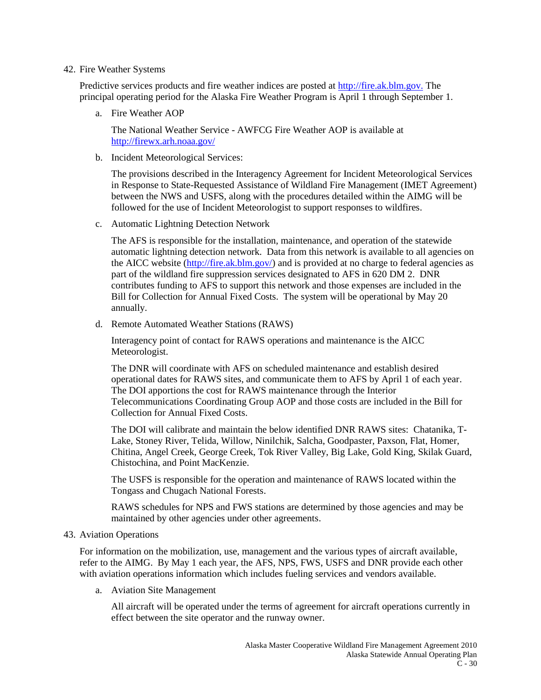#### 42. Fire Weather Systems

Predictive services products and fire weather indices are posted at [http://fire.ak.blm.gov.](http://fire.ak.blm.gov/) The principal operating period for the Alaska Fire Weather Program is April 1 through September 1.

a. Fire Weather AOP

The National Weather Service - AWFCG Fire Weather AOP is available at <http://firewx.arh.noaa.gov/>

b. Incident Meteorological Services:

The provisions described in the Interagency Agreement for Incident Meteorological Services in Response to State-Requested Assistance of Wildland Fire Management (IMET Agreement) between the NWS and USFS, along with the procedures detailed within the AIMG will be followed for the use of Incident Meteorologist to support responses to wildfires.

c. Automatic Lightning Detection Network

The AFS is responsible for the installation, maintenance, and operation of the statewide automatic lightning detection network. Data from this network is available to all agencies on the AICC website [\(http://fire.ak.blm.gov/\)](http://fire.ak.blm.gov/) and is provided at no charge to federal agencies as part of the wildland fire suppression services designated to AFS in 620 DM 2. DNR contributes funding to AFS to support this network and those expenses are included in the Bill for Collection for Annual Fixed Costs. The system will be operational by May 20 annually.

d. Remote Automated Weather Stations (RAWS)

Interagency point of contact for RAWS operations and maintenance is the AICC Meteorologist.

The DNR will coordinate with AFS on scheduled maintenance and establish desired operational dates for RAWS sites, and communicate them to AFS by April 1 of each year. The DOI apportions the cost for RAWS maintenance through the Interior Telecommunications Coordinating Group AOP and those costs are included in the Bill for Collection for Annual Fixed Costs.

The DOI will calibrate and maintain the below identified DNR RAWS sites: Chatanika, T-Lake, Stoney River, Telida, Willow, Ninilchik, Salcha, Goodpaster, Paxson, Flat, Homer, Chitina, Angel Creek, George Creek, Tok River Valley, Big Lake, Gold King, Skilak Guard, Chistochina, and Point MacKenzie.

The USFS is responsible for the operation and maintenance of RAWS located within the Tongass and Chugach National Forests.

RAWS schedules for NPS and FWS stations are determined by those agencies and may be maintained by other agencies under other agreements.

## 43. Aviation Operations

For information on the mobilization, use, management and the various types of aircraft available, refer to the AIMG. By May 1 each year, the AFS, NPS, FWS, USFS and DNR provide each other with aviation operations information which includes fueling services and vendors available.

a. Aviation Site Management

All aircraft will be operated under the terms of agreement for aircraft operations currently in effect between the site operator and the runway owner.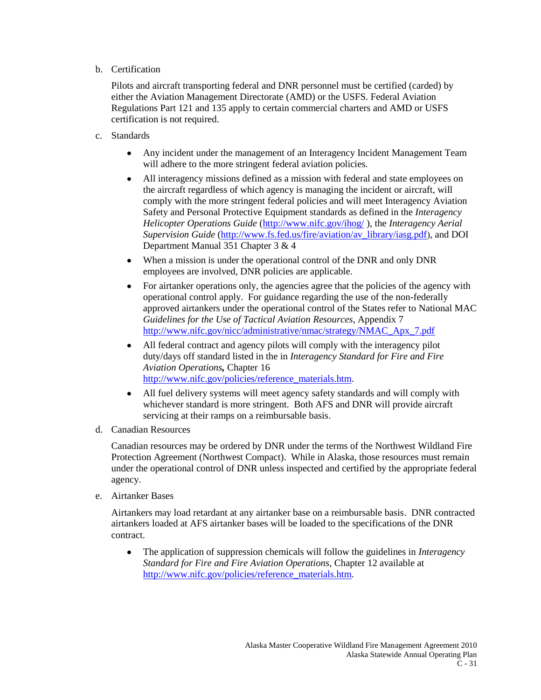b. Certification

Pilots and aircraft transporting federal and DNR personnel must be certified (carded) by either the Aviation Management Directorate (AMD) or the USFS. Federal Aviation Regulations Part 121 and 135 apply to certain commercial charters and AMD or USFS certification is not required.

- c. Standards
	- Any incident under the management of an Interagency Incident Management Team will adhere to the more stringent federal aviation policies.
	- All interagency missions defined as a mission with federal and state employees on  $\bullet$ the aircraft regardless of which agency is managing the incident or aircraft, will comply with the more stringent federal policies and will meet Interagency Aviation Safety and Personal Protective Equipment standards as defined in the *Interagency Helicopter Operations Guide* [\(http://www.nifc.gov/ihog/](http://www.nifc.gov/ihog/) ), the *Interagency Aerial Supervision Guide* [\(http://www.fs.fed.us/fire/aviation/av\\_library/iasg.pdf](http://www.fs.fed.us/fire/aviation/av_library/iasg.pdf)), and DOI Department Manual 351 Chapter 3 & 4
	- When a mission is under the operational control of the DNR and only DNR  $\bullet$ employees are involved, DNR policies are applicable.
	- $\bullet$ For airtanker operations only, the agencies agree that the policies of the agency with operational control apply. For guidance regarding the use of the non-federally approved airtankers under the operational control of the States refer to National MAC *Guidelines for the Use of Tactical Aviation Resources*, Appendix 7 [http://www.nifc.gov/nicc/administrative/nmac/strategy/NMAC\\_Apx\\_7.pdf](http://www.nifc.gov/nicc/administrative/nmac/strategy/NMAC_Apx_7.pdf)
	- All federal contract and agency pilots will comply with the interagency pilot duty/days off standard listed in the in *Interagency Standard for Fire and Fire Aviation Operations,* Chapter 16 [http://www.nifc.gov/policies/reference\\_materials.htm.](http://www.nifc.gov/policies/reference_materials.htm)
	- All fuel delivery systems will meet agency safety standards and will comply with whichever standard is more stringent. Both AFS and DNR will provide aircraft servicing at their ramps on a reimbursable basis.
- d. Canadian Resources

Canadian resources may be ordered by DNR under the terms of the Northwest Wildland Fire Protection Agreement (Northwest Compact). While in Alaska, those resources must remain under the operational control of DNR unless inspected and certified by the appropriate federal agency.

e. Airtanker Bases

Airtankers may load retardant at any airtanker base on a reimbursable basis. DNR contracted airtankers loaded at AFS airtanker bases will be loaded to the specifications of the DNR contract.

 $\bullet$ The application of suppression chemicals will follow the guidelines in *Interagency Standard for Fire and Fire Aviation Operations,* Chapter 12 available at [http://www.nifc.gov/policies/reference\\_materials.htm.](http://www.nifc.gov/policies/reference_materials.htm)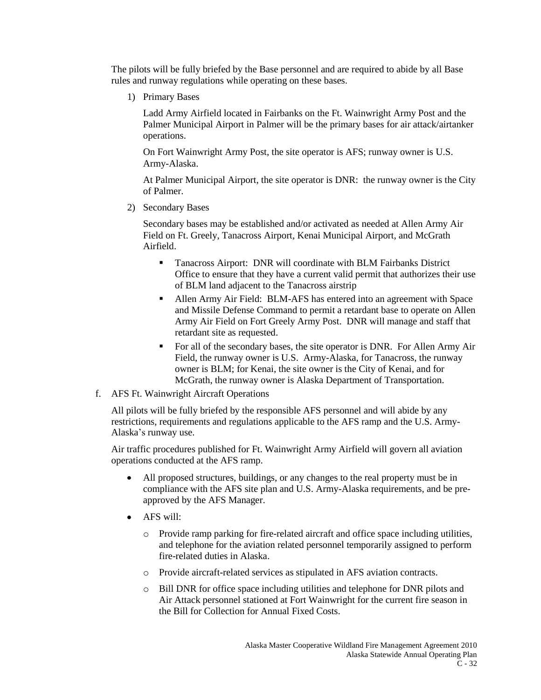The pilots will be fully briefed by the Base personnel and are required to abide by all Base rules and runway regulations while operating on these bases.

1) Primary Bases

Ladd Army Airfield located in Fairbanks on the Ft. Wainwright Army Post and the Palmer Municipal Airport in Palmer will be the primary bases for air attack/airtanker operations.

On Fort Wainwright Army Post, the site operator is AFS; runway owner is U.S. Army-Alaska.

At Palmer Municipal Airport, the site operator is DNR: the runway owner is the City of Palmer.

2) Secondary Bases

Secondary bases may be established and/or activated as needed at Allen Army Air Field on Ft. Greely, Tanacross Airport, Kenai Municipal Airport, and McGrath Airfield.

- Tanacross Airport: DNR will coordinate with BLM Fairbanks District Office to ensure that they have a current valid permit that authorizes their use of BLM land adjacent to the Tanacross airstrip
- Allen Army Air Field: BLM-AFS has entered into an agreement with Space and Missile Defense Command to permit a retardant base to operate on Allen Army Air Field on Fort Greely Army Post. DNR will manage and staff that retardant site as requested.
- For all of the secondary bases, the site operator is DNR. For Allen Army Air Field, the runway owner is U.S. Army-Alaska, for Tanacross, the runway owner is BLM; for Kenai, the site owner is the City of Kenai, and for McGrath, the runway owner is Alaska Department of Transportation.
- f. AFS Ft. Wainwright Aircraft Operations

All pilots will be fully briefed by the responsible AFS personnel and will abide by any restrictions, requirements and regulations applicable to the AFS ramp and the U.S. Army-Alaska's runway use.

Air traffic procedures published for Ft. Wainwright Army Airfield will govern all aviation operations conducted at the AFS ramp.

- All proposed structures, buildings, or any changes to the real property must be in  $\bullet$ compliance with the AFS site plan and U.S. Army-Alaska requirements, and be preapproved by the AFS Manager.
- AFS will:
	- o Provide ramp parking for fire-related aircraft and office space including utilities, and telephone for the aviation related personnel temporarily assigned to perform fire-related duties in Alaska.
	- o Provide aircraft-related services as stipulated in AFS aviation contracts.
	- o Bill DNR for office space including utilities and telephone for DNR pilots and Air Attack personnel stationed at Fort Wainwright for the current fire season in the Bill for Collection for Annual Fixed Costs.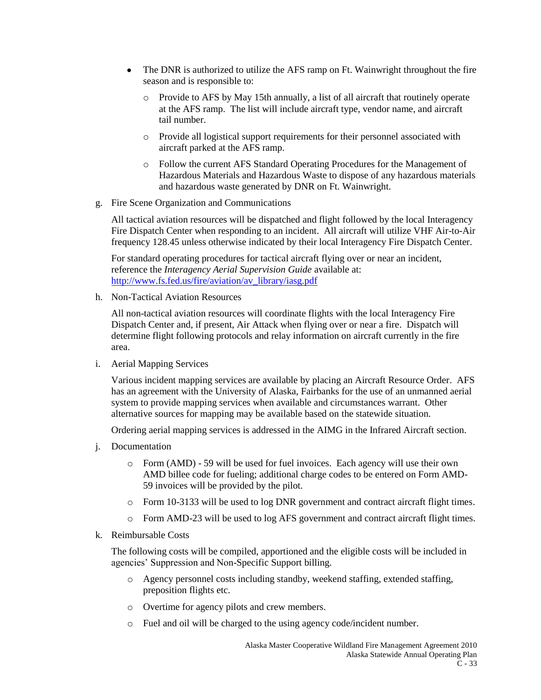- The DNR is authorized to utilize the AFS ramp on Ft. Wainwright throughout the fire season and is responsible to:
	- o Provide to AFS by May 15th annually, a list of all aircraft that routinely operate at the AFS ramp. The list will include aircraft type, vendor name, and aircraft tail number.
	- o Provide all logistical support requirements for their personnel associated with aircraft parked at the AFS ramp.
	- o Follow the current AFS Standard Operating Procedures for the Management of Hazardous Materials and Hazardous Waste to dispose of any hazardous materials and hazardous waste generated by DNR on Ft. Wainwright.
- g. Fire Scene Organization and Communications

All tactical aviation resources will be dispatched and flight followed by the local Interagency Fire Dispatch Center when responding to an incident. All aircraft will utilize VHF Air-to-Air frequency 128.45 unless otherwise indicated by their local Interagency Fire Dispatch Center.

For standard operating procedures for tactical aircraft flying over or near an incident, reference the *Interagency Aerial Supervision Guide* available at: [http://www.fs.fed.us/fire/aviation/av\\_library/iasg.pdf](http://www.fs.fed.us/fire/aviation/av_library/iasg.pdf)

h. Non-Tactical Aviation Resources

All non-tactical aviation resources will coordinate flights with the local Interagency Fire Dispatch Center and, if present, Air Attack when flying over or near a fire. Dispatch will determine flight following protocols and relay information on aircraft currently in the fire area.

i. Aerial Mapping Services

Various incident mapping services are available by placing an Aircraft Resource Order. AFS has an agreement with the University of Alaska, Fairbanks for the use of an unmanned aerial system to provide mapping services when available and circumstances warrant. Other alternative sources for mapping may be available based on the statewide situation.

Ordering aerial mapping services is addressed in the AIMG in the Infrared Aircraft section.

- j. Documentation
	- o Form (AMD) 59 will be used for fuel invoices. Each agency will use their own AMD billee code for fueling; additional charge codes to be entered on Form AMD-59 invoices will be provided by the pilot.
	- o Form 10-3133 will be used to log DNR government and contract aircraft flight times.
	- o Form AMD-23 will be used to log AFS government and contract aircraft flight times.
- k. Reimbursable Costs

The following costs will be compiled, apportioned and the eligible costs will be included in agencies' Suppression and Non-Specific Support billing.

- o Agency personnel costs including standby, weekend staffing, extended staffing, preposition flights etc.
- o Overtime for agency pilots and crew members.
- o Fuel and oil will be charged to the using agency code/incident number.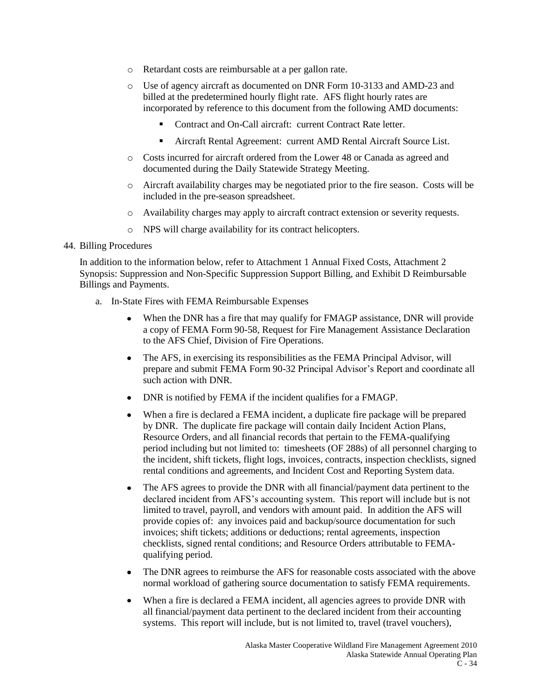- o Retardant costs are reimbursable at a per gallon rate.
- o Use of agency aircraft as documented on DNR Form 10-3133 and AMD-23 and billed at the predetermined hourly flight rate. AFS flight hourly rates are incorporated by reference to this document from the following AMD documents:
	- Contract and On-Call aircraft: current Contract Rate letter.
	- Aircraft Rental Agreement: current AMD Rental Aircraft Source List.
- o Costs incurred for aircraft ordered from the Lower 48 or Canada as agreed and documented during the Daily Statewide Strategy Meeting.
- o Aircraft availability charges may be negotiated prior to the fire season. Costs will be included in the pre-season spreadsheet.
- o Availability charges may apply to aircraft contract extension or severity requests.
- o NPS will charge availability for its contract helicopters.

#### 44. Billing Procedures

In addition to the information below, refer to Attachment 1 Annual Fixed Costs, Attachment 2 Synopsis: Suppression and Non-Specific Suppression Support Billing, and Exhibit D Reimbursable Billings and Payments.

- a. In-State Fires with FEMA Reimbursable Expenses
	- When the DNR has a fire that may qualify for FMAGP assistance, DNR will provide  $\bullet$ a copy of FEMA Form 90-58, Request for Fire Management Assistance Declaration to the AFS Chief, Division of Fire Operations.
	- $\bullet$ The AFS, in exercising its responsibilities as the FEMA Principal Advisor, will prepare and submit FEMA Form 90-32 Principal Advisor's Report and coordinate all such action with DNR.
	- DNR is notified by FEMA if the incident qualifies for a FMAGP.  $\bullet$
	- When a fire is declared a FEMA incident, a duplicate fire package will be prepared  $\bullet$ by DNR. The duplicate fire package will contain daily Incident Action Plans, Resource Orders, and all financial records that pertain to the FEMA-qualifying period including but not limited to: timesheets (OF 288s) of all personnel charging to the incident, shift tickets, flight logs, invoices, contracts, inspection checklists, signed rental conditions and agreements, and Incident Cost and Reporting System data.
	- The AFS agrees to provide the DNR with all financial/payment data pertinent to the declared incident from AFS's accounting system. This report will include but is not limited to travel, payroll, and vendors with amount paid. In addition the AFS will provide copies of: any invoices paid and backup/source documentation for such invoices; shift tickets; additions or deductions; rental agreements, inspection checklists, signed rental conditions; and Resource Orders attributable to FEMAqualifying period.
	- $\bullet$ The DNR agrees to reimburse the AFS for reasonable costs associated with the above normal workload of gathering source documentation to satisfy FEMA requirements.
	- When a fire is declared a FEMA incident, all agencies agrees to provide DNR with all financial/payment data pertinent to the declared incident from their accounting systems. This report will include, but is not limited to, travel (travel vouchers),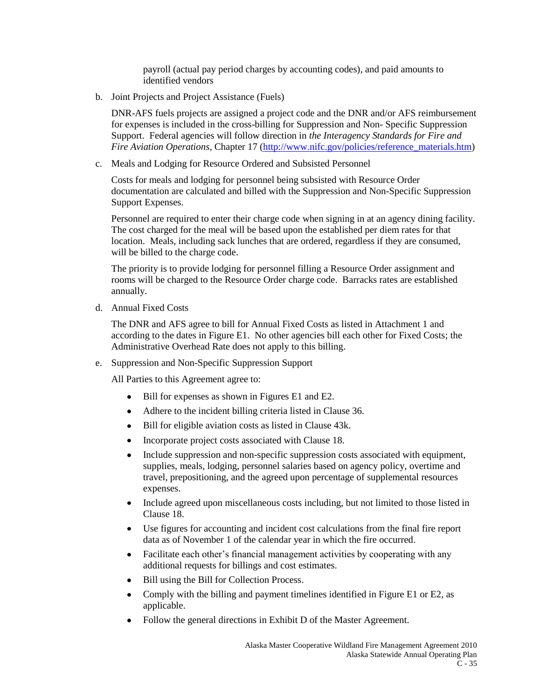payroll (actual pay period charges by accounting codes), and paid amounts to identified vendors

b. Joint Projects and Project Assistance (Fuels)

DNR-AFS fuels projects are assigned a project code and the DNR and/or AFS reimbursement for expenses is included in the cross-billing for Suppression and Non- Specific Suppression Support. Federal agencies will follow direction in *the Interagency Standards for Fire and Fire Aviation Operations,* Chapter 17 [\(http://www.nifc.gov/policies/reference\\_materials.htm\)](http://www.nifc.gov/policies/reference_materials.htm)

c. Meals and Lodging for Resource Ordered and Subsisted Personnel

Costs for meals and lodging for personnel being subsisted with Resource Order documentation are calculated and billed with the Suppression and Non-Specific Suppression Support Expenses.

Personnel are required to enter their charge code when signing in at an agency dining facility. The cost charged for the meal will be based upon the established per diem rates for that location. Meals, including sack lunches that are ordered, regardless if they are consumed, will be billed to the charge code.

The priority is to provide lodging for personnel filling a Resource Order assignment and rooms will be charged to the Resource Order charge code. Barracks rates are established annually.

d. Annual Fixed Costs

The DNR and AFS agree to bill for Annual Fixed Costs as listed in Attachment 1 and according to the dates in Figure E1. No other agencies bill each other for Fixed Costs; the Administrative Overhead Rate does not apply to this billing.

e. Suppression and Non-Specific Suppression Support

All Parties to this Agreement agree to:

- $\bullet$ Bill for expenses as shown in Figures E1 and E2.
- Adhere to the incident billing criteria listed in Clause 36.
- $\bullet$ Bill for eligible aviation costs as listed in Clause 43k.
- Incorporate project costs associated with Clause 18.  $\bullet$
- Include suppression and non-specific suppression costs associated with equipment,  $\bullet$ supplies, meals, lodging, personnel salaries based on agency policy, overtime and travel, prepositioning, and the agreed upon percentage of supplemental resources expenses.
- $\bullet$ Include agreed upon miscellaneous costs including, but not limited to those listed in Clause 18.
- Use figures for accounting and incident cost calculations from the final fire report data as of November 1 of the calendar year in which the fire occurred.
- $\bullet$ Facilitate each other's financial management activities by cooperating with any additional requests for billings and cost estimates.
- Bill using the Bill for Collection Process.  $\bullet$
- Comply with the billing and payment timelines identified in Figure E1 or E2, as  $\bullet$ applicable.
- Follow the general directions in Exhibit D of the Master Agreement. $\bullet$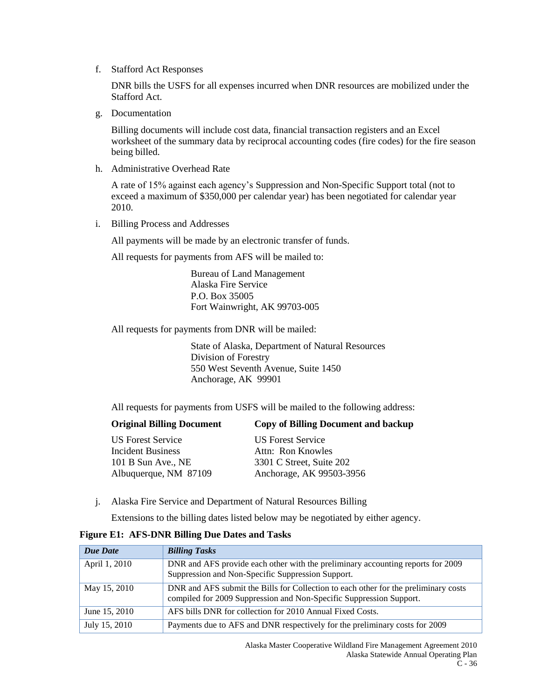f. Stafford Act Responses

DNR bills the USFS for all expenses incurred when DNR resources are mobilized under the Stafford Act.

g. Documentation

Billing documents will include cost data, financial transaction registers and an Excel worksheet of the summary data by reciprocal accounting codes (fire codes) for the fire season being billed.

h. Administrative Overhead Rate

A rate of 15% against each agency's Suppression and Non-Specific Support total (not to exceed a maximum of \$350,000 per calendar year) has been negotiated for calendar year 2010.

i. Billing Process and Addresses

All payments will be made by an electronic transfer of funds.

All requests for payments from AFS will be mailed to:

Bureau of Land Management Alaska Fire Service P.O. Box 35005 Fort Wainwright, AK 99703-005

All requests for payments from DNR will be mailed:

State of Alaska, Department of Natural Resources Division of Forestry 550 West Seventh Avenue, Suite 1450 Anchorage, AK 99901

All requests for payments from USFS will be mailed to the following address:

**Original Billing Document Copy of Billing Document and backup**

| <b>US Forest Service</b> |
|--------------------------|
| Attn: Ron Knowles        |
| 3301 C Street, Suite 202 |
| Anchorage, AK 99503-3956 |
|                          |

j. Alaska Fire Service and Department of Natural Resources Billing

Extensions to the billing dates listed below may be negotiated by either agency.

#### **Figure E1: AFS-DNR Billing Due Dates and Tasks**

| <b>Due Date</b> | <b>Billing Tasks</b>                                                                                                                                       |
|-----------------|------------------------------------------------------------------------------------------------------------------------------------------------------------|
| April 1, 2010   | DNR and AFS provide each other with the preliminary accounting reports for 2009<br>Suppression and Non-Specific Suppression Support.                       |
| May 15, 2010    | DNR and AFS submit the Bills for Collection to each other for the preliminary costs<br>compiled for 2009 Suppression and Non-Specific Suppression Support. |
| June 15, 2010   | AFS bills DNR for collection for 2010 Annual Fixed Costs.                                                                                                  |
| July 15, 2010   | Payments due to AFS and DNR respectively for the preliminary costs for 2009                                                                                |

Alaska Master Cooperative Wildland Fire Management Agreement 2010 Alaska Statewide Annual Operating Plan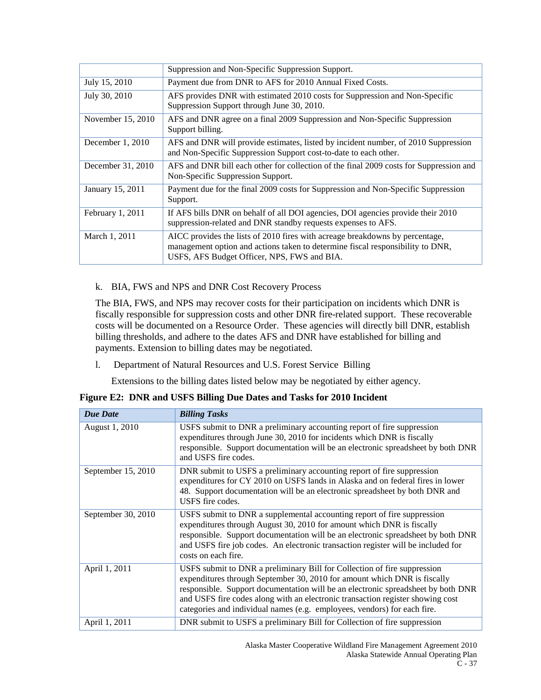|                   | Suppression and Non-Specific Suppression Support.                                                                                                                                                             |
|-------------------|---------------------------------------------------------------------------------------------------------------------------------------------------------------------------------------------------------------|
| July 15, 2010     | Payment due from DNR to AFS for 2010 Annual Fixed Costs.                                                                                                                                                      |
| July 30, 2010     | AFS provides DNR with estimated 2010 costs for Suppression and Non-Specific<br>Suppression Support through June 30, 2010.                                                                                     |
| November 15, 2010 | AFS and DNR agree on a final 2009 Suppression and Non-Specific Suppression<br>Support billing.                                                                                                                |
| December $1,2010$ | AFS and DNR will provide estimates, listed by incident number, of 2010 Suppression<br>and Non-Specific Suppression Support cost-to-date to each other.                                                        |
| December 31, 2010 | AFS and DNR bill each other for collection of the final 2009 costs for Suppression and<br>Non-Specific Suppression Support.                                                                                   |
| January 15, 2011  | Payment due for the final 2009 costs for Suppression and Non-Specific Suppression<br>Support.                                                                                                                 |
| February 1, 2011  | If AFS bills DNR on behalf of all DOI agencies, DOI agencies provide their 2010<br>suppression-related and DNR standby requests expenses to AFS.                                                              |
| March 1, 2011     | AICC provides the lists of 2010 fires with acreage breakdowns by percentage,<br>management option and actions taken to determine fiscal responsibility to DNR,<br>USFS, AFS Budget Officer, NPS, FWS and BIA. |

# k. BIA, FWS and NPS and DNR Cost Recovery Process

The BIA, FWS, and NPS may recover costs for their participation on incidents which DNR is fiscally responsible for suppression costs and other DNR fire-related support. These recoverable costs will be documented on a Resource Order. These agencies will directly bill DNR, establish billing thresholds, and adhere to the dates AFS and DNR have established for billing and payments. Extension to billing dates may be negotiated.

l. Department of Natural Resources and U.S. Forest Service Billing

Extensions to the billing dates listed below may be negotiated by either agency.

# **Figure E2: DNR and USFS Billing Due Dates and Tasks for 2010 Incident**

| <b>Due Date</b>    | <b>Billing Tasks</b>                                                                                                                                                                                                                                                                                                                                                                                   |
|--------------------|--------------------------------------------------------------------------------------------------------------------------------------------------------------------------------------------------------------------------------------------------------------------------------------------------------------------------------------------------------------------------------------------------------|
| August 1, 2010     | USFS submit to DNR a preliminary accounting report of fire suppression<br>expenditures through June 30, 2010 for incidents which DNR is fiscally<br>responsible. Support documentation will be an electronic spreadsheet by both DNR<br>and USFS fire codes.                                                                                                                                           |
| September 15, 2010 | DNR submit to USFS a preliminary accounting report of fire suppression<br>expenditures for CY 2010 on USFS lands in Alaska and on federal fires in lower<br>48. Support documentation will be an electronic spreadsheet by both DNR and<br>USFS fire codes.                                                                                                                                            |
| September 30, 2010 | USFS submit to DNR a supplemental accounting report of fire suppression<br>expenditures through August 30, 2010 for amount which DNR is fiscally<br>responsible. Support documentation will be an electronic spreadsheet by both DNR<br>and USFS fire job codes. An electronic transaction register will be included for<br>costs on each fire.                                                        |
| April 1, 2011      | USFS submit to DNR a preliminary Bill for Collection of fire suppression<br>expenditures through September 30, 2010 for amount which DNR is fiscally<br>responsible. Support documentation will be an electronic spreadsheet by both DNR<br>and USFS fire codes along with an electronic transaction register showing cost<br>categories and individual names (e.g. employees, vendors) for each fire. |
| April 1, 2011      | DNR submit to USFS a preliminary Bill for Collection of fire suppression                                                                                                                                                                                                                                                                                                                               |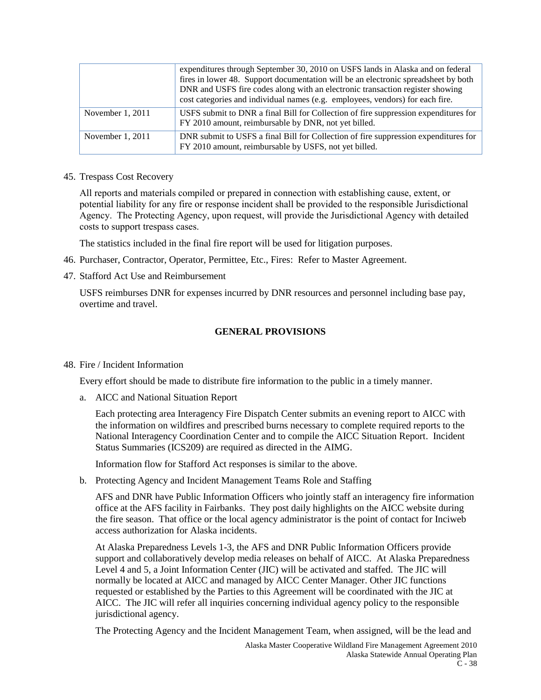|                    | expenditures through September 30, 2010 on USFS lands in Alaska and on federal                                                               |
|--------------------|----------------------------------------------------------------------------------------------------------------------------------------------|
|                    | fires in lower 48. Support documentation will be an electronic spreadsheet by both                                                           |
|                    | DNR and USFS fire codes along with an electronic transaction register showing                                                                |
|                    | cost categories and individual names (e.g. employees, vendors) for each fire.                                                                |
| November $1, 2011$ | USFS submit to DNR a final Bill for Collection of fire suppression expenditures for<br>FY 2010 amount, reimbursable by DNR, not yet billed.  |
| November $1, 2011$ | DNR submit to USFS a final Bill for Collection of fire suppression expenditures for<br>FY 2010 amount, reimbursable by USFS, not yet billed. |
|                    |                                                                                                                                              |

45. Trespass Cost Recovery

All reports and materials compiled or prepared in connection with establishing cause, extent, or potential liability for any fire or response incident shall be provided to the responsible Jurisdictional Agency. The Protecting Agency, upon request, will provide the Jurisdictional Agency with detailed costs to support trespass cases.

The statistics included in the final fire report will be used for litigation purposes.

- 46. Purchaser, Contractor, Operator, Permittee, Etc., Fires: Refer to Master Agreement.
- 47. Stafford Act Use and Reimbursement

USFS reimburses DNR for expenses incurred by DNR resources and personnel including base pay, overtime and travel.

## **GENERAL PROVISIONS**

## 48. Fire / Incident Information

Every effort should be made to distribute fire information to the public in a timely manner.

a. AICC and National Situation Report

Each protecting area Interagency Fire Dispatch Center submits an evening report to AICC with the information on wildfires and prescribed burns necessary to complete required reports to the National Interagency Coordination Center and to compile the AICC Situation Report. Incident Status Summaries (ICS209) are required as directed in the AIMG.

Information flow for Stafford Act responses is similar to the above.

b. Protecting Agency and Incident Management Teams Role and Staffing

AFS and DNR have Public Information Officers who jointly staff an interagency fire information office at the AFS facility in Fairbanks. They post daily highlights on the AICC website during the fire season. That office or the local agency administrator is the point of contact for Inciweb access authorization for Alaska incidents.

At Alaska Preparedness Levels 1-3, the AFS and DNR Public Information Officers provide support and collaboratively develop media releases on behalf of AICC. At Alaska Preparedness Level 4 and 5, a Joint Information Center (JIC) will be activated and staffed. The JIC will normally be located at AICC and managed by AICC Center Manager. Other JIC functions requested or established by the Parties to this Agreement will be coordinated with the JIC at AICC. The JIC will refer all inquiries concerning individual agency policy to the responsible jurisdictional agency.

The Protecting Agency and the Incident Management Team, when assigned, will be the lead and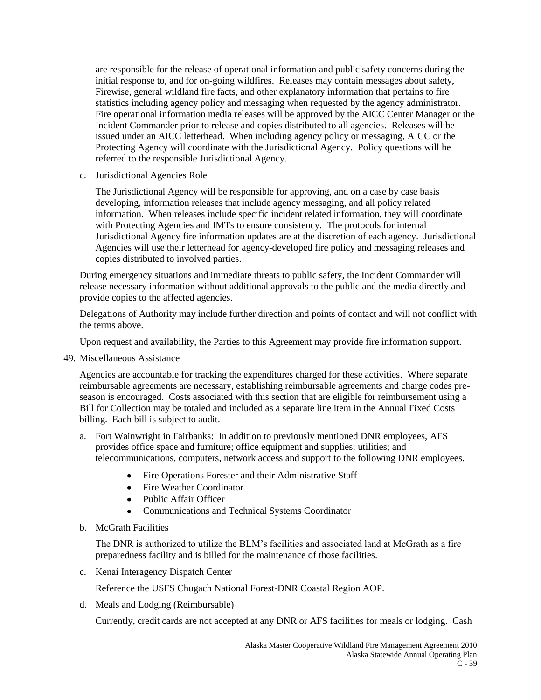are responsible for the release of operational information and public safety concerns during the initial response to, and for on-going wildfires. Releases may contain messages about safety, Firewise, general wildland fire facts, and other explanatory information that pertains to fire statistics including agency policy and messaging when requested by the agency administrator. Fire operational information media releases will be approved by the AICC Center Manager or the Incident Commander prior to release and copies distributed to all agencies. Releases will be issued under an AICC letterhead. When including agency policy or messaging, AICC or the Protecting Agency will coordinate with the Jurisdictional Agency. Policy questions will be referred to the responsible Jurisdictional Agency.

c. Jurisdictional Agencies Role

The Jurisdictional Agency will be responsible for approving, and on a case by case basis developing, information releases that include agency messaging, and all policy related information. When releases include specific incident related information, they will coordinate with Protecting Agencies and IMTs to ensure consistency. The protocols for internal Jurisdictional Agency fire information updates are at the discretion of each agency. Jurisdictional Agencies will use their letterhead for agency-developed fire policy and messaging releases and copies distributed to involved parties.

During emergency situations and immediate threats to public safety, the Incident Commander will release necessary information without additional approvals to the public and the media directly and provide copies to the affected agencies.

Delegations of Authority may include further direction and points of contact and will not conflict with the terms above.

Upon request and availability, the Parties to this Agreement may provide fire information support.

49. Miscellaneous Assistance

Agencies are accountable for tracking the expenditures charged for these activities. Where separate reimbursable agreements are necessary, establishing reimbursable agreements and charge codes preseason is encouraged. Costs associated with this section that are eligible for reimbursement using a Bill for Collection may be totaled and included as a separate line item in the Annual Fixed Costs billing. Each bill is subject to audit.

- a. Fort Wainwright in Fairbanks: In addition to previously mentioned DNR employees, AFS provides office space and furniture; office equipment and supplies; utilities; and telecommunications, computers, network access and support to the following DNR employees.
	- Fire Operations Forester and their Administrative Staff
	- Fire Weather Coordinator
	- Public Affair Officer
	- Communications and Technical Systems Coordinator
- b. McGrath Facilities

The DNR is authorized to utilize the BLM's facilities and associated land at McGrath as a fire preparedness facility and is billed for the maintenance of those facilities.

c. Kenai Interagency Dispatch Center

Reference the USFS Chugach National Forest-DNR Coastal Region AOP.

d. Meals and Lodging (Reimbursable)

Currently, credit cards are not accepted at any DNR or AFS facilities for meals or lodging. Cash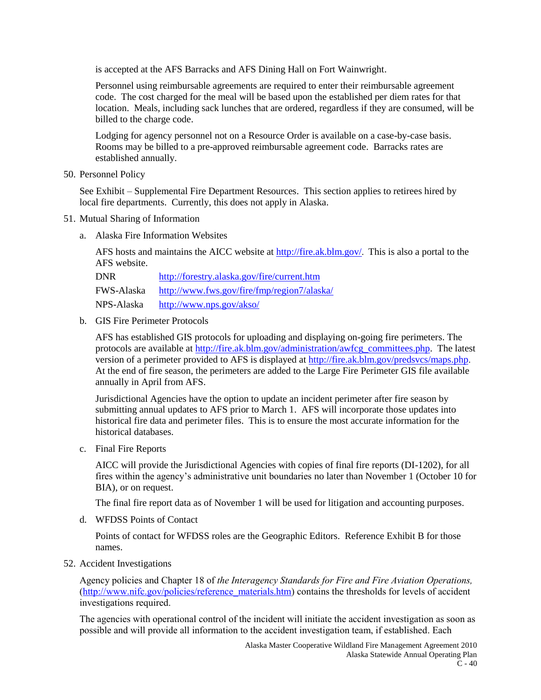is accepted at the AFS Barracks and AFS Dining Hall on Fort Wainwright.

Personnel using reimbursable agreements are required to enter their reimbursable agreement code. The cost charged for the meal will be based upon the established per diem rates for that location. Meals, including sack lunches that are ordered, regardless if they are consumed, will be billed to the charge code.

Lodging for agency personnel not on a Resource Order is available on a case-by-case basis. Rooms may be billed to a pre-approved reimbursable agreement code. Barracks rates are established annually.

50. Personnel Policy

See Exhibit – Supplemental Fire Department Resources. This section applies to retirees hired by local fire departments. Currently, this does not apply in Alaska.

- 51. Mutual Sharing of Information
	- a. Alaska Fire Information Websites

AFS hosts and maintains the AICC website at<http://fire.ak.blm.gov/>. This is also a portal to the AFS website.

| <b>DNR</b>        | http://forestry.alaska.gov/fire/current.htm |
|-------------------|---------------------------------------------|
| <b>FWS-Alaska</b> | http://www.fws.gov/fire/fmp/region7/alaska/ |
| NPS-Alaska        | http://www.nps.gov/akso/                    |

b. GIS Fire Perimeter Protocols

AFS has established GIS protocols for uploading and displaying on-going fire perimeters. The protocols are available at [http://fire.ak.blm.gov/administration/awfcg\\_committees.php.](http://fire.ak.blm.gov/administration/awfcg_committees.php) The latest version of a perimeter provided to AFS is displayed at<http://fire.ak.blm.gov/predsvcs/maps.php>. At the end of fire season, the perimeters are added to the Large Fire Perimeter GIS file available annually in April from AFS.

Jurisdictional Agencies have the option to update an incident perimeter after fire season by submitting annual updates to AFS prior to March 1. AFS will incorporate those updates into historical fire data and perimeter files. This is to ensure the most accurate information for the historical databases.

c. Final Fire Reports

AICC will provide the Jurisdictional Agencies with copies of final fire reports (DI-1202), for all fires within the agency's administrative unit boundaries no later than November 1 (October 10 for BIA), or on request.

The final fire report data as of November 1 will be used for litigation and accounting purposes.

d. WFDSS Points of Contact

Points of contact for WFDSS roles are the Geographic Editors. Reference Exhibit B for those names.

52. Accident Investigations

Agency policies and Chapter 18 of *the Interagency Standards for Fire and Fire Aviation Operations,* [\(http://www.nifc.gov/policies/reference\\_materials.htm\)](http://www.nifc.gov/policies/reference_materials.htm) contains the thresholds for levels of accident investigations required.

The agencies with operational control of the incident will initiate the accident investigation as soon as possible and will provide all information to the accident investigation team, if established. Each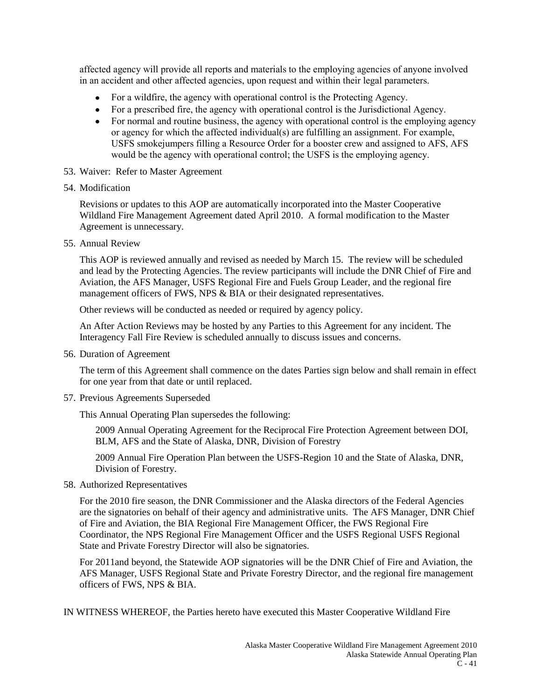affected agency will provide all reports and materials to the employing agencies of anyone involved in an accident and other affected agencies, upon request and within their legal parameters.

- For a wildfire, the agency with operational control is the Protecting Agency.
- For a prescribed fire, the agency with operational control is the Jurisdictional Agency.
- For normal and routine business, the agency with operational control is the employing agency or agency for which the affected individual(s) are fulfilling an assignment. For example, USFS smokejumpers filling a Resource Order for a booster crew and assigned to AFS, AFS would be the agency with operational control; the USFS is the employing agency.
- 53. Waiver: Refer to Master Agreement
- 54. Modification

Revisions or updates to this AOP are automatically incorporated into the Master Cooperative Wildland Fire Management Agreement dated April 2010. A formal modification to the Master Agreement is unnecessary.

55. Annual Review

This AOP is reviewed annually and revised as needed by March 15. The review will be scheduled and lead by the Protecting Agencies. The review participants will include the DNR Chief of Fire and Aviation, the AFS Manager, USFS Regional Fire and Fuels Group Leader, and the regional fire management officers of FWS, NPS & BIA or their designated representatives.

Other reviews will be conducted as needed or required by agency policy.

An After Action Reviews may be hosted by any Parties to this Agreement for any incident. The Interagency Fall Fire Review is scheduled annually to discuss issues and concerns.

56. Duration of Agreement

The term of this Agreement shall commence on the dates Parties sign below and shall remain in effect for one year from that date or until replaced.

57. Previous Agreements Superseded

This Annual Operating Plan supersedes the following:

2009 Annual Operating Agreement for the Reciprocal Fire Protection Agreement between DOI, BLM, AFS and the State of Alaska, DNR, Division of Forestry

2009 Annual Fire Operation Plan between the USFS-Region 10 and the State of Alaska, DNR, Division of Forestry.

58. Authorized Representatives

For the 2010 fire season, the DNR Commissioner and the Alaska directors of the Federal Agencies are the signatories on behalf of their agency and administrative units. The AFS Manager, DNR Chief of Fire and Aviation, the BIA Regional Fire Management Officer, the FWS Regional Fire Coordinator, the NPS Regional Fire Management Officer and the USFS Regional USFS Regional State and Private Forestry Director will also be signatories.

For 2011and beyond, the Statewide AOP signatories will be the DNR Chief of Fire and Aviation, the AFS Manager, USFS Regional State and Private Forestry Director, and the regional fire management officers of FWS, NPS & BIA.

IN WITNESS WHEREOF, the Parties hereto have executed this Master Cooperative Wildland Fire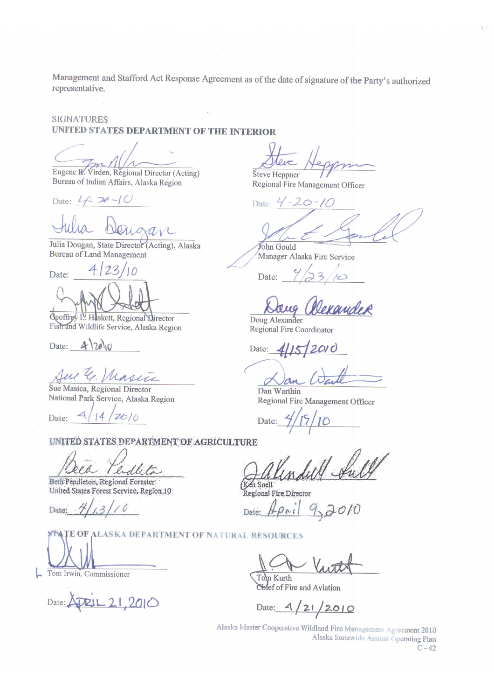Management and Stafford Act Response Agreement as of the date of signature of the Party's authorized representative.

**SIGNATURES** UNITED STATES DEPARTMENT OF THE INTERIOR

m

Eugene R. Virden, Regional Director (Acting) Bureau of Indian Affairs, Alaska Region

Date:  $4220 - 10$ 

an

 $4123/10$ 

Julia Dougan, State Director (Acting), Alaska Bureau of Land Management

Date:

Geoffrey L. Haskett, Regional Director Fish and Wildlife Service, Alaska Region

Date:  $4\sqrt{20}$ 

Ju 4

Sue Masica, Regional Director National Park Service, Alaska Region

Date:  $20/0$ 

UNITED STATES DEPARTMENT OF AGRICULTURE

p e a

Beth Pendleton, Regional Forester United States Forest Service, Region 10

Date:

Regional Fire Management Officer Date:

Ken Snell Regional Fire Director Date:

**ALASKA DEPARTMENT OF NATURAL RESOURCES**  $OF$ 

Tom Irwin, Commissioner

Date: APRIL 21, 2010

Tom Kurth Chef of Fire and Aviation

Date:  $4/21/2010$ 

Alaska Master Cooperative Wildland Fire Management Agreement 2010 Alaska Statewide Annual Operating Plan  $C - 42$ 

**Steve Heppner** Regional Fire Management Officer

Date:  $4 - 20 - 10$ 

 $\frac{3}{2}$  ).

John Gould Manager Alaska Fire Service

Date:

Doug Alexander

Regional Fire Coordinator

 $41512010$ Date:

Dan Warthin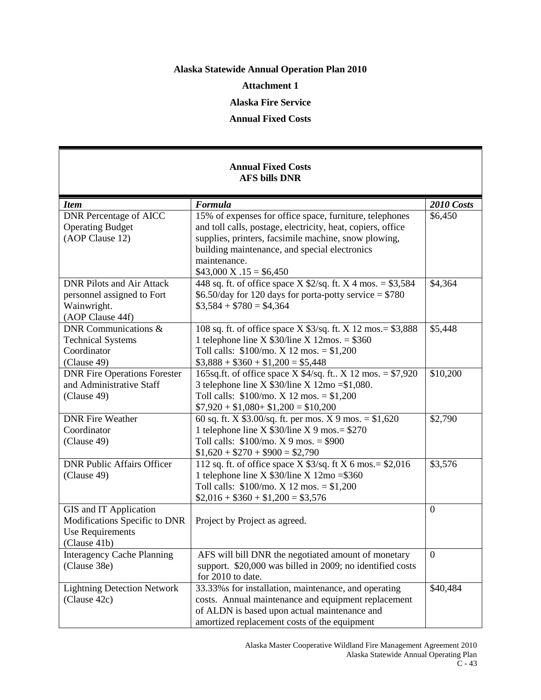# **Alaska Statewide Annual Operation Plan 2010**

## **Attachment 1**

# **Alaska Fire Service**

# **Annual Fixed Costs**

## **Annual Fixed Costs AFS bills DNR**

| <b>Item</b>                                                                                        | Formula                                                                                                                                                                                                                                                                              | 2010 Costs     |
|----------------------------------------------------------------------------------------------------|--------------------------------------------------------------------------------------------------------------------------------------------------------------------------------------------------------------------------------------------------------------------------------------|----------------|
| <b>DNR</b> Percentage of AICC<br><b>Operating Budget</b><br>(AOP Clause 12)                        | 15% of expenses for office space, furniture, telephones<br>and toll calls, postage, electricity, heat, copiers, office<br>supplies, printers, facsimile machine, snow plowing,<br>building maintenance, and special electronics<br>maintenance.<br>$$43,000 \text{ X}$ .15 = \$6,450 | \$6,450        |
| <b>DNR Pilots and Air Attack</b><br>personnel assigned to Fort<br>Wainwright.<br>(AOP Clause 44f)  | 448 sq. ft. of office space X $2$ /sq. ft. X 4 mos. = \$3,584<br>$$6.50/day$ for 120 days for porta-potty service = \$780<br>$\$3,584 + \$780 = \$4,364$                                                                                                                             | \$4,364        |
| DNR Communications &<br><b>Technical Systems</b><br>Coordinator<br>(Clause 49)                     | 108 sq. ft. of office space X \$3/sq. ft. X 12 mos. = \$3,888<br>1 telephone line X $$30/$ line X $12$ mos. = \$360<br>Toll calls: $$100/$ mo. X 12 mos. = $$1,200$<br>$$3,888 + $360 + $1,200 = $5,448$                                                                             | \$5,448        |
| <b>DNR Fire Operations Forester</b><br>and Administrative Staff<br>(Clause 49)                     | 165sq.ft. of office space X $4$ /sq.ft. X 12 mos. = \$7,920<br>3 telephone line X $$30/$ line X $12$ mo = \$1,080.<br>Toll calls: $$100/$ mo. X 12 mos. = $$1,200$<br>$$7,920 + $1,080 + $1,200 = $10,200$                                                                           | \$10,200       |
| <b>DNR</b> Fire Weather<br>Coordinator<br>(Clause 49)                                              | 60 sq. ft. X $$3.00/sq$ . ft. per mos. X 9 mos. = $$1,620$<br>1 telephone line X $$30/$ line X 9 mos. = $$270$<br>Toll calls: $$100/$ mo. X 9 mos. = \$900<br>$$1,620 + $270 + $900 = $2,790$                                                                                        | \$2,790        |
| <b>DNR Public Affairs Officer</b><br>(Clause 49)                                                   | 112 sq. ft. of office space X $$3/sq$ . ft X 6 mos. = $\overline{$2,016}$<br>1 telephone line X $$30/$ line X $12$ mo = \$360<br>Toll calls: $$100/$ mo. X 12 mos. = $$1,200$<br>$$2,016 + $360 + $1,200 = $3,576$                                                                   | \$3,576        |
| GIS and IT Application<br>Modifications Specific to DNR<br><b>Use Requirements</b><br>(Clause 41b) | Project by Project as agreed.                                                                                                                                                                                                                                                        | $\theta$       |
| <b>Interagency Cache Planning</b><br>(Clause 38e)                                                  | AFS will bill DNR the negotiated amount of monetary<br>support. \$20,000 was billed in 2009; no identified costs<br>for 2010 to date.                                                                                                                                                | $\overline{0}$ |
| <b>Lightning Detection Network</b><br>(Clause 42c)                                                 | 33.33% s for installation, maintenance, and operating<br>costs. Annual maintenance and equipment replacement<br>of ALDN is based upon actual maintenance and<br>amortized replacement costs of the equipment                                                                         | \$40,484       |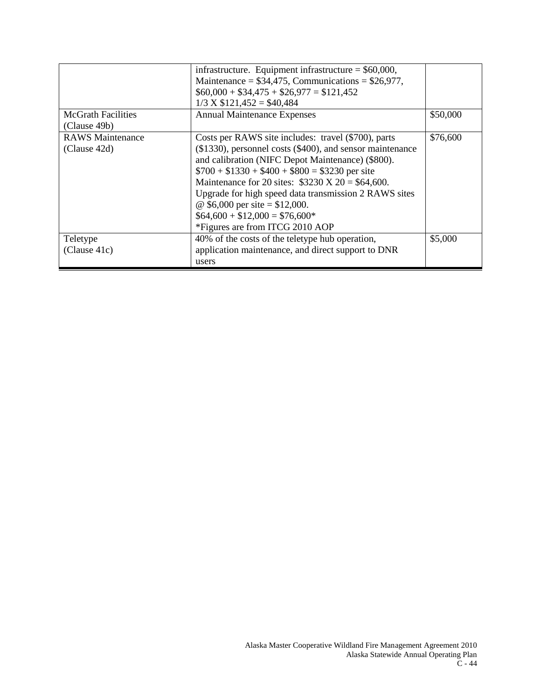|                           | infrastructure. Equipment infrastructure = $$60,000$ ,    |          |
|---------------------------|-----------------------------------------------------------|----------|
|                           | Maintenance = $$34,475$ , Communications = $$26,977$ ,    |          |
|                           | $$60,000 + $34,475 + $26,977 = $121,452$                  |          |
|                           | $1/3$ X \$121,452 = \$40,484                              |          |
| <b>McGrath Facilities</b> | <b>Annual Maintenance Expenses</b>                        | \$50,000 |
| (Clause 49b)              |                                                           |          |
| <b>RAWS</b> Maintenance   | Costs per RAWS site includes: travel (\$700), parts       | \$76,600 |
| (Clause 42d)              | (\$1330), personnel costs (\$400), and sensor maintenance |          |
|                           | and calibration (NIFC Depot Maintenance) (\$800).         |          |
|                           | $$700 + $1330 + $400 + $800 = $3230$ per site             |          |
|                           | Maintenance for 20 sites: $$3230 X 20 = $64,600$ .        |          |
|                           | Upgrade for high speed data transmission 2 RAWS sites     |          |
|                           | @ \$6,000 per site = \$12,000.                            |          |
|                           | $$64,600 + $12,000 = $76,600*$                            |          |
|                           | *Figures are from ITCG 2010 AOP                           |          |
| Teletype                  | 40% of the costs of the teletype hub operation,           | \$5,000  |
| (Clause 41c)              | application maintenance, and direct support to DNR        |          |
|                           | users                                                     |          |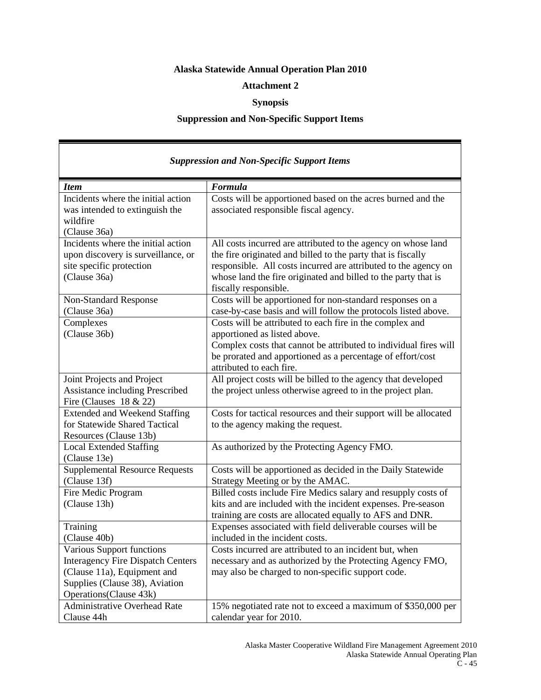# **Alaska Statewide Annual Operation Plan 2010**

## **Attachment 2**

# **Synopsis**

# **Suppression and Non-Specific Support Items**

| <b>Suppression and Non-Specific Support Items</b>                                                                                                                 |                                                                                                                                                                                                                                                                                                                                                                                       |  |  |
|-------------------------------------------------------------------------------------------------------------------------------------------------------------------|---------------------------------------------------------------------------------------------------------------------------------------------------------------------------------------------------------------------------------------------------------------------------------------------------------------------------------------------------------------------------------------|--|--|
| <b>Item</b>                                                                                                                                                       | Formula                                                                                                                                                                                                                                                                                                                                                                               |  |  |
| Incidents where the initial action<br>was intended to extinguish the<br>wildfire<br>(Clause 36a)                                                                  | Costs will be apportioned based on the acres burned and the<br>associated responsible fiscal agency.                                                                                                                                                                                                                                                                                  |  |  |
| Incidents where the initial action<br>upon discovery is surveillance, or<br>site specific protection<br>(Clause 36a)                                              | All costs incurred are attributed to the agency on whose land<br>the fire originated and billed to the party that is fiscally<br>responsible. All costs incurred are attributed to the agency on<br>whose land the fire originated and billed to the party that is<br>fiscally responsible.                                                                                           |  |  |
| <b>Non-Standard Response</b><br>(Clause 36a)<br>Complexes<br>(Clause 36b)                                                                                         | Costs will be apportioned for non-standard responses on a<br>case-by-case basis and will follow the protocols listed above.<br>Costs will be attributed to each fire in the complex and<br>apportioned as listed above.<br>Complex costs that cannot be attributed to individual fires will<br>be prorated and apportioned as a percentage of effort/cost<br>attributed to each fire. |  |  |
| Joint Projects and Project<br>Assistance including Prescribed<br>Fire (Clauses $18 \& 22$ )                                                                       | All project costs will be billed to the agency that developed<br>the project unless otherwise agreed to in the project plan.                                                                                                                                                                                                                                                          |  |  |
| <b>Extended and Weekend Staffing</b><br>for Statewide Shared Tactical<br>Resources (Clause 13b)                                                                   | Costs for tactical resources and their support will be allocated<br>to the agency making the request.                                                                                                                                                                                                                                                                                 |  |  |
| <b>Local Extended Staffing</b><br>(Clause 13e)                                                                                                                    | As authorized by the Protecting Agency FMO.                                                                                                                                                                                                                                                                                                                                           |  |  |
| <b>Supplemental Resource Requests</b><br>(Clause 13f)                                                                                                             | Costs will be apportioned as decided in the Daily Statewide<br>Strategy Meeting or by the AMAC.                                                                                                                                                                                                                                                                                       |  |  |
| Fire Medic Program<br>(Clause 13h)                                                                                                                                | Billed costs include Fire Medics salary and resupply costs of<br>kits and are included with the incident expenses. Pre-season<br>training are costs are allocated equally to AFS and DNR.                                                                                                                                                                                             |  |  |
| Training<br>(Clause 40b)                                                                                                                                          | Expenses associated with field deliverable courses will be<br>included in the incident costs.                                                                                                                                                                                                                                                                                         |  |  |
| Various Support functions<br><b>Interagency Fire Dispatch Centers</b><br>(Clause 11a), Equipment and<br>Supplies (Clause 38), Aviation<br>Operations (Clause 43k) | Costs incurred are attributed to an incident but, when<br>necessary and as authorized by the Protecting Agency FMO,<br>may also be charged to non-specific support code.                                                                                                                                                                                                              |  |  |
| <b>Administrative Overhead Rate</b><br>Clause 44h                                                                                                                 | 15% negotiated rate not to exceed a maximum of \$350,000 per<br>calendar year for 2010.                                                                                                                                                                                                                                                                                               |  |  |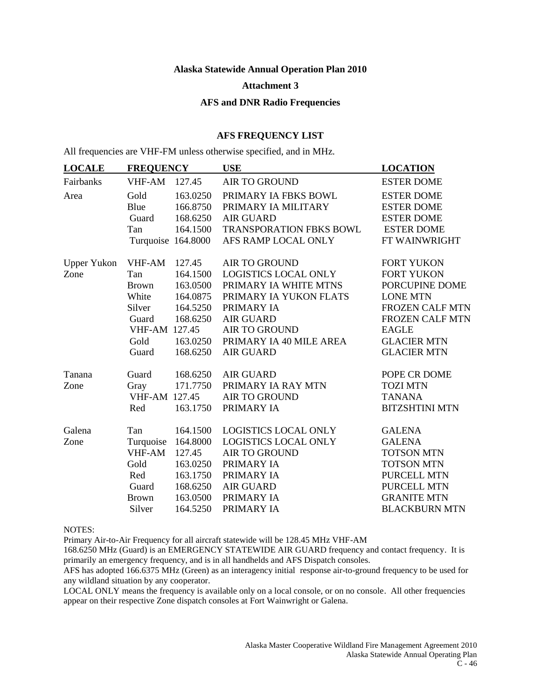#### **Alaska Statewide Annual Operation Plan 2010**

**Attachment 3**

#### **AFS and DNR Radio Frequencies**

#### **AFS FREQUENCY LIST**

All frequencies are VHF-FM unless otherwise specified, and in MHz.

| <b>LOCALE</b> | <b>FREQUENCY</b> |                      | <b>USE</b>                       | <b>LOCATION</b>        |
|---------------|------------------|----------------------|----------------------------------|------------------------|
| Fairbanks     | VHF-AM 127.45    |                      | <b>AIR TO GROUND</b>             | <b>ESTER DOME</b>      |
| Area          | Gold             | 163.0250             | PRIMARY IA FBKS BOWL             | <b>ESTER DOME</b>      |
|               | Blue             | 166.8750             | PRIMARY IA MILITARY              | <b>ESTER DOME</b>      |
|               | Guard            | 168.6250             | <b>AIR GUARD</b>                 | <b>ESTER DOME</b>      |
|               | Tan              | 164.1500             | <b>TRANSPORATION FBKS BOWL</b>   | <b>ESTER DOME</b>      |
|               |                  | Turquoise 164.8000   | AFS RAMP LOCAL ONLY              | FT WAINWRIGHT          |
| Upper Yukon   | VHF-AM           | 127.45               | <b>AIR TO GROUND</b>             | <b>FORT YUKON</b>      |
| Zone          | Tan              | 164.1500             | LOGISTICS LOCAL ONLY             | <b>FORT YUKON</b>      |
|               | <b>Brown</b>     | 163.0500             | PRIMARY IA WHITE MTNS            | PORCUPINE DOME         |
|               | White            | 164.0875             | PRIMARY IA YUKON FLATS           | <b>LONE MTN</b>        |
|               | Silver           | 164.5250             | PRIMARY IA                       | <b>FROZEN CALF MTN</b> |
|               | Guard            | 168.6250             | <b>AIR GUARD</b>                 | <b>FROZEN CALF MTN</b> |
|               |                  | VHF-AM 127.45        | <b>AIR TO GROUND</b>             | <b>EAGLE</b>           |
|               | Gold             |                      | 163.0250 PRIMARY IA 40 MILE AREA | <b>GLACIER MTN</b>     |
|               | Guard            | 168.6250             | <b>AIR GUARD</b>                 | <b>GLACIER MTN</b>     |
| Tanana        | Guard            | 168.6250             | <b>AIR GUARD</b>                 | POPE CR DOME           |
| Zone          | Gray             | 171.7750             | PRIMARY IA RAY MTN               | <b>TOZI MTN</b>        |
|               |                  | <b>VHF-AM 127.45</b> | <b>AIR TO GROUND</b>             | <b>TANANA</b>          |
|               | Red              | 163.1750             | PRIMARY IA                       | <b>BITZSHTINI MTN</b>  |
| Galena        | Tan              |                      | 164.1500 LOGISTICS LOCAL ONLY    | <b>GALENA</b>          |
| Zone          |                  | Turquoise 164.8000   | <b>LOGISTICS LOCAL ONLY</b>      | <b>GALENA</b>          |
|               | <b>VHF-AM</b>    | 127.45               | <b>AIR TO GROUND</b>             | <b>TOTSON MTN</b>      |
|               | Gold             | 163.0250             | PRIMARY IA                       | <b>TOTSON MTN</b>      |
|               | Red              | 163.1750             | PRIMARY IA                       | PURCELL MTN            |
|               | Guard            | 168.6250             | <b>AIR GUARD</b>                 | <b>PURCELL MTN</b>     |
|               | <b>Brown</b>     | 163.0500             | PRIMARY IA                       | <b>GRANITE MTN</b>     |
|               | Silver           | 164.5250             | PRIMARY IA                       | <b>BLACKBURN MTN</b>   |

#### NOTES:

Primary Air-to-Air Frequency for all aircraft statewide will be 128.45 MHz VHF-AM

168.6250 MHz (Guard) is an EMERGENCY STATEWIDE AIR GUARD frequency and contact frequency. It is primarily an emergency frequency, and is in all handhelds and AFS Dispatch consoles.

AFS has adopted 166.6375 MHz (Green) as an interagency initial response air-to-ground frequency to be used for any wildland situation by any cooperator.

LOCAL ONLY means the frequency is available only on a local console, or on no console. All other frequencies appear on their respective Zone dispatch consoles at Fort Wainwright or Galena.